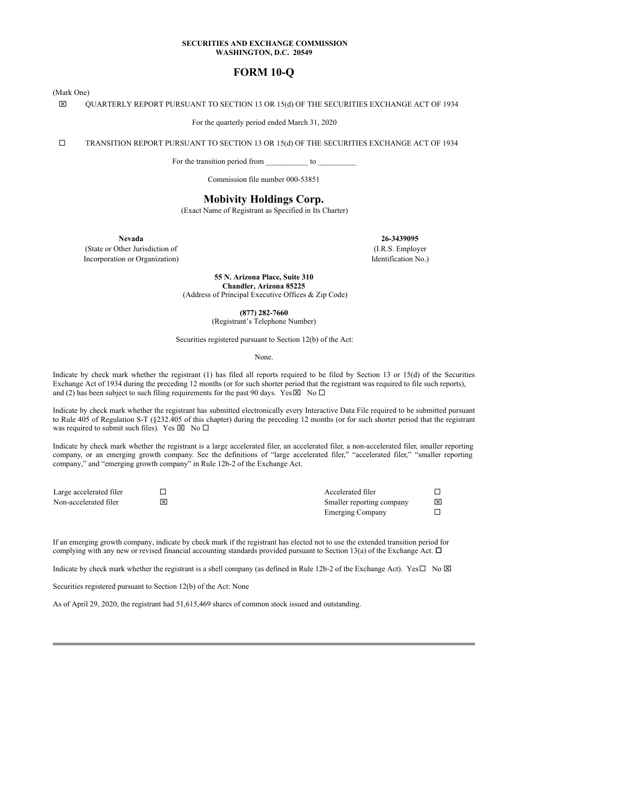# **SECURITIES AND EXCHANGE COMMISSION WASHINGTON, D.C. 20549**

# **FORM 10-Q**

(Mark One)

x QUARTERLY REPORT PURSUANT TO SECTION 13 OR 15(d) OF THE SECURITIES EXCHANGE ACT OF 1934

For the quarterly period ended March 31, 2020

¨ TRANSITION REPORT PURSUANT TO SECTION 13 OR 15(d) OF THE SECURITIES EXCHANGE ACT OF 1934

For the transition period from \_\_\_\_\_\_\_\_\_\_\_\_ to

Commission file number 000-53851

# **Mobivity Holdings Corp.**

(Exact Name of Registrant as Specified in Its Charter)

(State or Other Jurisdiction of (I.R.S. Employer Incorporation or Organization) Identification No.)

**Nevada 26-3439095**

**55 N. Arizona Place, Suite 310 Chandler, Arizona 85225** (Address of Principal Executive Offices & Zip Code)

> **(877) 282-7660** (Registrant's Telephone Number)

Securities registered pursuant to Section 12(b) of the Act:

None.

Indicate by check mark whether the registrant (1) has filed all reports required to be filed by Section 13 or 15(d) of the Securities Exchange Act of 1934 during the preceding 12 months (or for such shorter period that the registrant was required to file such reports), and (2) has been subject to such filing requirements for the past 90 days. Yes  $\boxtimes$  No  $\Box$ 

Indicate by check mark whether the registrant has submitted electronically every Interactive Data File required to be submitted pursuant to Rule 405 of Regulation S-T (§232.405 of this chapter) during the preceding 12 months (or for such shorter period that the registrant was required to submit such files). Yes  $\boxtimes$  No  $\square$ 

Indicate by check mark whether the registrant is a large accelerated filer, an accelerated filer, a non-accelerated filer, smaller reporting company, or an emerging growth company. See the definitions of "large accelerated filer," "accelerated filer," "smaller reporting company," and "emerging growth company" in Rule 12b-2 of the Exchange Act.

| Large accelerated filer | Accelerated filer         |   |
|-------------------------|---------------------------|---|
| Non-accelerated filer   | Smaller reporting company | ⊠ |
|                         | <b>Emerging Company</b>   |   |

If an emerging growth company, indicate by check mark if the registrant has elected not to use the extended transition period for complying with any new or revised financial accounting standards provided pursuant to Section 13(a) of the Exchange Act.  $\Box$ 

Indicate by check mark whether the registrant is a shell company (as defined in Rule 12b-2 of the Exchange Act). Yes  $\Box$  No  $\boxtimes$ 

Securities registered pursuant to Section 12(b) of the Act: None

As of April 29, 2020, the registrant had 51,615,469 shares of common stock issued and outstanding.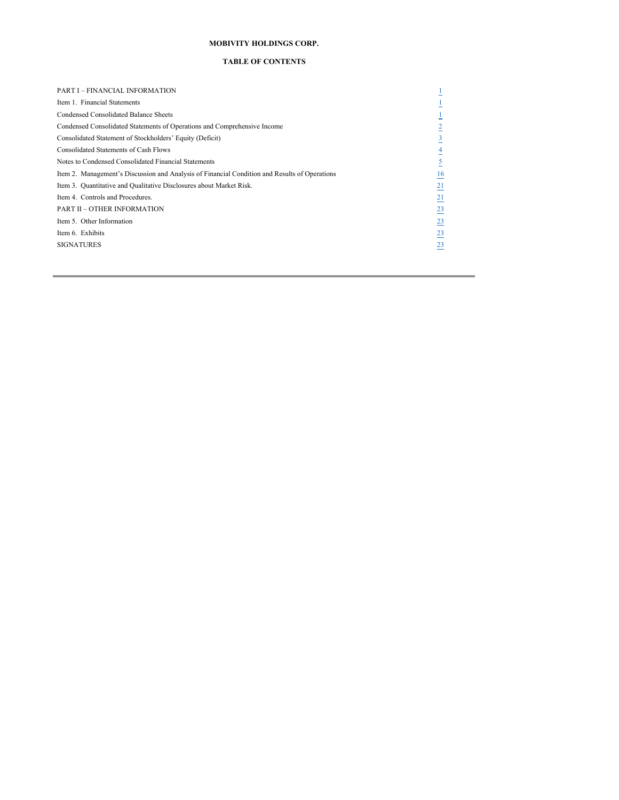# **MOBIVITY HOLDINGS CORP.**

# **TABLE OF CONTENTS**

| <b>PART I – FINANCIAL INFORMATION</b>                                                         |    |
|-----------------------------------------------------------------------------------------------|----|
| Item 1. Financial Statements                                                                  |    |
| Condensed Consolidated Balance Sheets                                                         |    |
| Condensed Consolidated Statements of Operations and Comprehensive Income                      |    |
| Consolidated Statement of Stockholders' Equity (Deficit)                                      |    |
| Consolidated Statements of Cash Flows                                                         |    |
| Notes to Condensed Consolidated Financial Statements                                          |    |
| Item 2. Management's Discussion and Analysis of Financial Condition and Results of Operations | 16 |
| Item 3. Quantitative and Qualitative Disclosures about Market Risk.                           | 21 |
| Item 4. Controls and Procedures.                                                              | 21 |
| <b>PART II – OTHER INFORMATION</b>                                                            | 23 |
| Item 5. Other Information                                                                     | 23 |
| Item 6. Exhibits                                                                              | 23 |
| <b>SIGNATURES</b>                                                                             | 23 |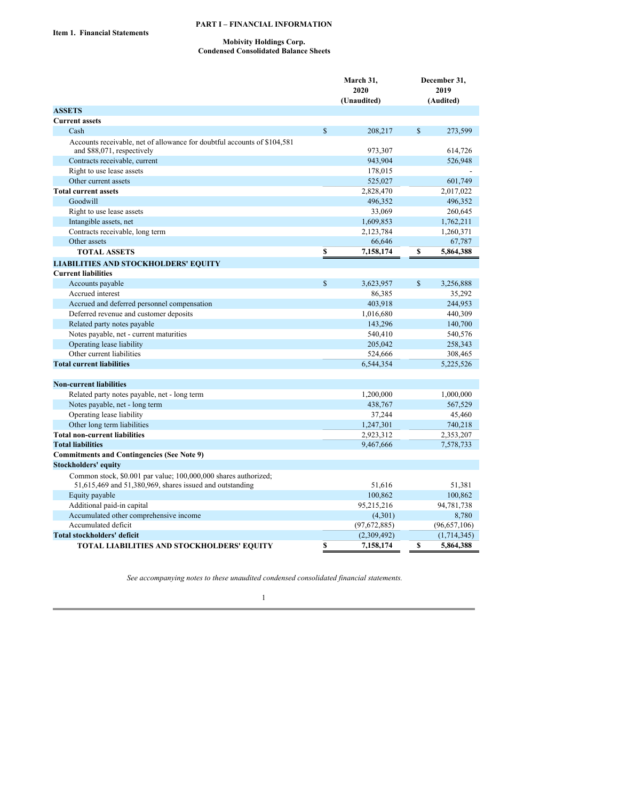# <span id="page-2-0"></span>**PART I – FINANCIAL INFORMATION**

## **Mobivity Holdings Corp. Condensed Consolidated Balance Sheets**

|                                                                                                                             | March 31,       | December 31,    |
|-----------------------------------------------------------------------------------------------------------------------------|-----------------|-----------------|
|                                                                                                                             | 2020            | 2019            |
| <b>ASSETS</b>                                                                                                               | (Unaudited)     | (Audited)       |
|                                                                                                                             |                 |                 |
| <b>Current assets</b><br>Cash                                                                                               | \$<br>208,217   | \$<br>273,599   |
|                                                                                                                             |                 |                 |
| Accounts receivable, net of allowance for doubtful accounts of \$104,581<br>and \$88,071, respectively                      | 973,307         | 614,726         |
| Contracts receivable, current                                                                                               | 943,904         | 526,948         |
| Right to use lease assets                                                                                                   | 178,015         |                 |
| Other current assets                                                                                                        | 525,027         | 601,749         |
| <b>Total current assets</b>                                                                                                 | 2,828,470       | 2,017,022       |
| Goodwill                                                                                                                    | 496,352         | 496,352         |
| Right to use lease assets                                                                                                   | 33,069          | 260,645         |
| Intangible assets, net                                                                                                      | 1,609,853       | 1,762,211       |
| Contracts receivable, long term                                                                                             | 2,123,784       | 1,260,371       |
| Other assets                                                                                                                | 66,646          | 67,787          |
| <b>TOTAL ASSETS</b>                                                                                                         | \$<br>7,158,174 | \$<br>5,864,388 |
| <b>LIABILITIES AND STOCKHOLDERS' EQUITY</b>                                                                                 |                 |                 |
| <b>Current liabilities</b>                                                                                                  |                 |                 |
| Accounts payable                                                                                                            | \$<br>3,623,957 | \$<br>3,256,888 |
| Accrued interest                                                                                                            | 86,385          | 35,292          |
| Accrued and deferred personnel compensation                                                                                 | 403,918         | 244,953         |
| Deferred revenue and customer deposits                                                                                      | 1,016,680       | 440,309         |
| Related party notes payable                                                                                                 | 143,296         | 140,700         |
| Notes payable, net - current maturities                                                                                     | 540,410         | 540,576         |
| Operating lease liability                                                                                                   | 205,042         | 258,343         |
| Other current liabilities                                                                                                   | 524,666         | 308,465         |
| <b>Total current liabilities</b>                                                                                            | 6,544,354       | 5,225,526       |
|                                                                                                                             |                 |                 |
| <b>Non-current liabilities</b>                                                                                              |                 |                 |
| Related party notes payable, net - long term                                                                                | 1,200,000       | 1,000,000       |
| Notes payable, net - long term                                                                                              | 438,767         | 567,529         |
| Operating lease liability                                                                                                   | 37,244          | 45,460          |
| Other long term liabilities                                                                                                 | 1,247,301       | 740,218         |
| <b>Total non-current liabilities</b>                                                                                        | 2,923,312       | 2,353,207       |
| <b>Total liabilities</b>                                                                                                    | 9,467,666       | 7,578,733       |
| <b>Commitments and Contingencies (See Note 9)</b>                                                                           |                 |                 |
| <b>Stockholders' equity</b>                                                                                                 |                 |                 |
| Common stock, \$0.001 par value; 100,000,000 shares authorized;<br>51,615,469 and 51,380,969, shares issued and outstanding | 51,616          | 51,381          |
| Equity payable                                                                                                              | 100,862         | 100,862         |
| Additional paid-in capital                                                                                                  | 95,215,216      | 94,781,738      |
| Accumulated other comprehensive income                                                                                      | (4,301)         | 8,780           |
| Accumulated deficit                                                                                                         | (97, 672, 885)  | (96, 657, 106)  |
| <b>Total stockholders' deficit</b>                                                                                          | (2,309,492)     | (1,714,345)     |
| <b>TOTAL LIABILITIES AND STOCKHOLDERS' EQUITY</b>                                                                           | \$<br>7,158,174 | \$<br>5,864,388 |

*See accompanying notes to these unaudited condensed consolidated financial statements.*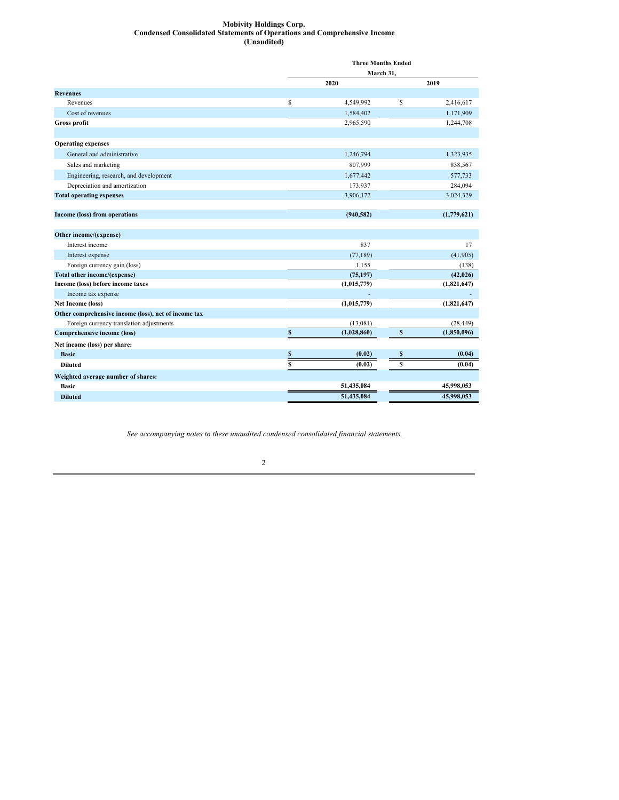## <span id="page-3-0"></span>**Mobivity Holdings Corp. Condensed Consolidated Statements of Operations and Comprehensive Income (Unaudited)**

|                                                      |    | <b>Three Months Ended</b><br>March 31, |    |             |  |  |  |
|------------------------------------------------------|----|----------------------------------------|----|-------------|--|--|--|
|                                                      |    |                                        |    |             |  |  |  |
|                                                      |    | 2020                                   |    | 2019        |  |  |  |
| <b>Revenues</b>                                      |    |                                        |    |             |  |  |  |
| Revenues                                             | \$ | 4,549,992                              | Ŝ. | 2,416,617   |  |  |  |
| Cost of revenues                                     |    | 1,584,402                              |    | 1,171,909   |  |  |  |
| Gross profit                                         |    | 2,965,590                              |    | 1,244,708   |  |  |  |
| <b>Operating expenses</b>                            |    |                                        |    |             |  |  |  |
| General and administrative                           |    | 1,246,794                              |    | 1,323,935   |  |  |  |
| Sales and marketing                                  |    | 807,999                                |    | 838,567     |  |  |  |
| Engineering, research, and development               |    | 1,677,442                              |    | 577,733     |  |  |  |
| Depreciation and amortization                        |    | 173,937                                |    | 284,094     |  |  |  |
| <b>Total operating expenses</b>                      |    | 3,906,172                              |    | 3,024,329   |  |  |  |
| Income (loss) from operations                        |    | (940, 582)                             |    | (1,779,621) |  |  |  |
| Other income/(expense)                               |    |                                        |    |             |  |  |  |
| Interest income                                      |    | 837                                    |    | 17          |  |  |  |
| Interest expense                                     |    | (77, 189)                              |    | (41,905)    |  |  |  |
| Foreign currency gain (loss)                         |    | 1,155                                  |    | (138)       |  |  |  |
| Total other income/(expense)                         |    | (75, 197)                              |    | (42, 026)   |  |  |  |
| Income (loss) before income taxes                    |    | (1,015,779)                            |    | (1,821,647) |  |  |  |
| Income tax expense                                   |    |                                        |    |             |  |  |  |
| Net Income (loss)                                    |    | (1,015,779)                            |    | (1,821,647) |  |  |  |
| Other comprehensive income (loss), net of income tax |    |                                        |    |             |  |  |  |
| Foreign currency translation adjustments             |    | (13,081)                               |    | (28, 449)   |  |  |  |
| Comprehensive income (loss)                          | \$ | (1,028,860)                            | \$ | (1,850,096) |  |  |  |
| Net income (loss) per share:                         |    |                                        |    |             |  |  |  |
| <b>Basic</b>                                         | \$ | (0.02)                                 | \$ | (0.04)      |  |  |  |
| <b>Diluted</b>                                       | \$ | (0.02)                                 | \$ | (0.04)      |  |  |  |
| Weighted average number of shares:                   |    |                                        |    |             |  |  |  |
| <b>Basic</b>                                         |    | 51,435,084                             |    | 45,998,053  |  |  |  |
| <b>Diluted</b>                                       |    | 51,435,084                             |    | 45,998,053  |  |  |  |

*See accompanying notes to these unaudited condensed consolidated financial statements.*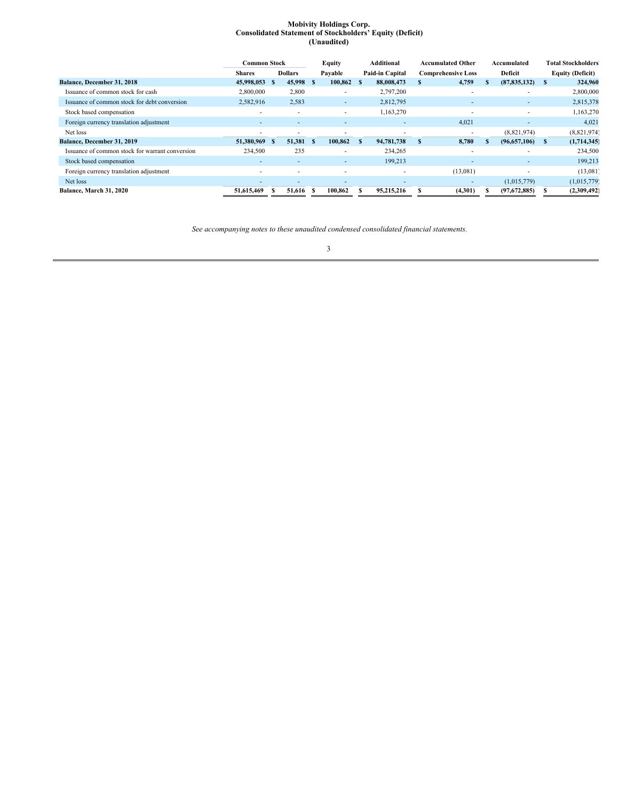#### <span id="page-4-0"></span>**Mobivity Holdings Corp. Consolidated Statement of Stockholders' Equity (Deficit) (Unaudited)**

|                                                 | Common Stock  |      |                          |     | <b>Equity</b>            |      | Additional      |   | <b>Accumulated Other</b>  | Accumulated    |   | <b>Total Stockholders</b> |
|-------------------------------------------------|---------------|------|--------------------------|-----|--------------------------|------|-----------------|---|---------------------------|----------------|---|---------------------------|
|                                                 | <b>Shares</b> |      | <b>Dollars</b>           |     | Payable                  |      | Paid-in Capital |   | <b>Comprehensive Loss</b> | Deficit        |   | <b>Equity (Deficit)</b>   |
| <b>Balance, December 31, 2018</b>               | 45,998,053    | - S  | 45,998                   | -5  | 100,862                  | - \$ | 88,008,473      | S | 4,759                     | (87, 835, 132) | ъ | 324,960                   |
| Issuance of common stock for cash               | 2,800,000     |      | 2,800                    |     |                          |      | 2,797,200       |   | ۰                         |                |   | 2,800,000                 |
| Issuance of common stock for debt conversion    | 2,582,916     |      | 2,583                    |     | $\overline{\phantom{a}}$ |      | 2,812,795       |   |                           |                |   | 2,815,378                 |
| Stock based compensation                        | ۰             |      | $\overline{\phantom{a}}$ |     |                          |      | 1,163,270       |   | ۰.                        |                |   | 1,163,270                 |
| Foreign currency translation adjustment         |               |      |                          |     | $\overline{\phantom{a}}$ |      |                 |   | 4,021                     |                |   | 4,021                     |
| Net loss                                        | ۰.            |      | ۰                        |     |                          |      |                 |   | ۰.                        | (8,821,974)    |   | (8,821,974)               |
| Balance, December 31, 2019                      | 51,380,969    | - 5. | 51,381                   | э.  | 100,862                  |      | 94,781,738      |   | 8,780                     | (96,657,106)   |   | (1,714,345)               |
| Issuance of common stock for warrant conversion | 234,500       |      | 235                      |     |                          |      | 234,265         |   | ۰.                        |                |   | 234,500                   |
| Stock based compensation                        |               |      |                          |     |                          |      | 199.213         |   |                           |                |   | 199,213                   |
| Foreign currency translation adjustment         |               |      | ۰                        |     |                          |      |                 |   | (13,081)                  |                |   | (13,081)                  |
| Net loss                                        |               |      |                          |     |                          |      |                 |   |                           | (1,015,779)    |   | (1,015,779)               |
| Balance, March 31, 2020                         | 51,615,469    |      | 51,616                   | -56 | 100,862                  |      | 95,215,216      |   | (4,301)                   | (97,672,885)   |   | (2,309,492)               |

*See accompanying notes to these unaudited condensed consolidated financial statements.*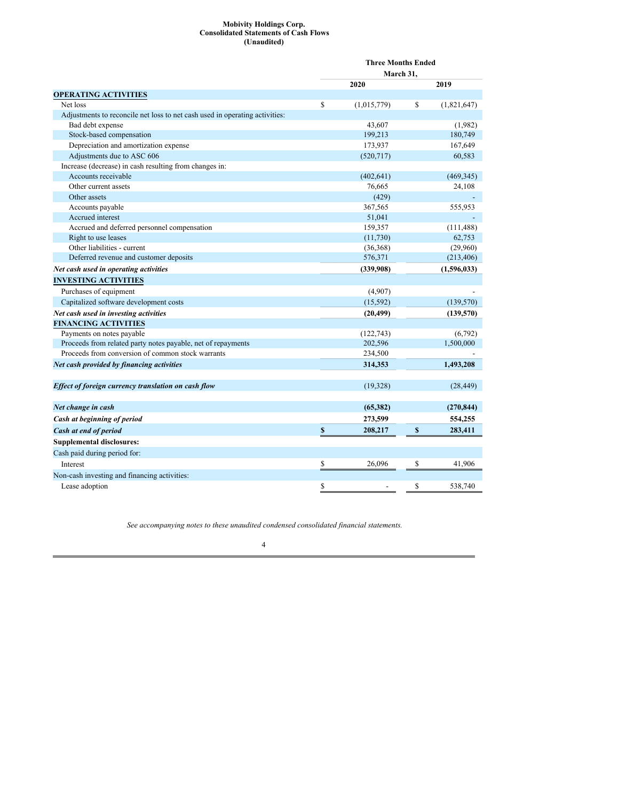#### <span id="page-5-0"></span>**Mobivity Holdings Corp. Consolidated Statements of Cash Flows (Unaudited)**

|                                                                             | <b>Three Months Ended</b> |             |    |             |  |
|-----------------------------------------------------------------------------|---------------------------|-------------|----|-------------|--|
|                                                                             | March 31,                 |             |    |             |  |
|                                                                             |                           | 2020        |    | 2019        |  |
| <b>OPERATING ACTIVITIES</b>                                                 |                           |             |    |             |  |
| Net loss                                                                    | $\mathbb{S}$              | (1,015,779) | S  | (1,821,647) |  |
| Adjustments to reconcile net loss to net cash used in operating activities: |                           |             |    |             |  |
| Bad debt expense                                                            |                           | 43.607      |    | (1,982)     |  |
| Stock-based compensation                                                    |                           | 199,213     |    | 180,749     |  |
| Depreciation and amortization expense                                       |                           | 173,937     |    | 167,649     |  |
| Adjustments due to ASC 606                                                  |                           | (520, 717)  |    | 60,583      |  |
| Increase (decrease) in cash resulting from changes in:                      |                           |             |    |             |  |
| Accounts receivable                                                         |                           | (402, 641)  |    | (469, 345)  |  |
| Other current assets                                                        |                           | 76,665      |    | 24,108      |  |
| Other assets                                                                |                           | (429)       |    |             |  |
| Accounts payable                                                            |                           | 367,565     |    | 555,953     |  |
| Accrued interest                                                            |                           | 51,041      |    |             |  |
| Accrued and deferred personnel compensation                                 |                           | 159,357     |    | (111, 488)  |  |
| Right to use leases                                                         |                           | (11,730)    |    | 62,753      |  |
| Other liabilities - current                                                 |                           | (36,368)    |    | (29,960)    |  |
| Deferred revenue and customer deposits                                      |                           | 576,371     |    | (213, 406)  |  |
| Net cash used in operating activities                                       |                           | (339,908)   |    | (1,596,033) |  |
| <b>INVESTING ACTIVITIES</b>                                                 |                           |             |    |             |  |
| Purchases of equipment                                                      |                           | (4,907)     |    |             |  |
| Capitalized software development costs                                      |                           | (15,592)    |    | (139, 570)  |  |
| Net cash used in investing activities                                       |                           | (20, 499)   |    | (139,570)   |  |
| <b>FINANCING ACTIVITIES</b>                                                 |                           |             |    |             |  |
| Payments on notes payable                                                   |                           | (122, 743)  |    | (6,792)     |  |
| Proceeds from related party notes payable, net of repayments                |                           | 202,596     |    | 1,500,000   |  |
| Proceeds from conversion of common stock warrants                           |                           | 234,500     |    |             |  |
| Net cash provided by financing activities                                   |                           | 314,353     |    | 1,493,208   |  |
|                                                                             |                           |             |    |             |  |
| Effect of foreign currency translation on cash flow                         |                           | (19,328)    |    | (28, 449)   |  |
| Net change in cash                                                          |                           | (65, 382)   |    | (270, 844)  |  |
| Cash at beginning of period                                                 |                           | 273,599     |    | 554,255     |  |
| Cash at end of period                                                       | \$                        | 208,217     | \$ | 283,411     |  |
| <b>Supplemental disclosures:</b>                                            |                           |             |    |             |  |
| Cash paid during period for:                                                |                           |             |    |             |  |
| Interest                                                                    | \$                        | 26,096      | \$ | 41,906      |  |
| Non-cash investing and financing activities:                                |                           |             |    |             |  |
| Lease adoption                                                              | \$                        |             | \$ | 538,740     |  |

*See accompanying notes to these unaudited condensed consolidated financial statements.*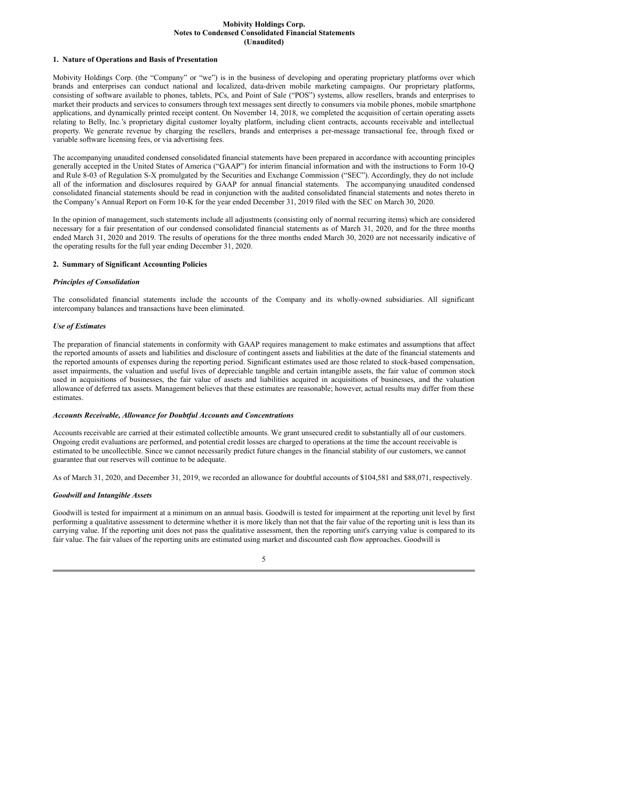# <span id="page-6-0"></span>**Mobivity Holdings Corp. Notes to Condensed Consolidated Financial Statements (Unaudited)**

# **1. Nature of Operations and Basis of Presentation**

Mobivity Holdings Corp. (the "Company" or "we") is in the business of developing and operating proprietary platforms over which brands and enterprises can conduct national and localized, data-driven mobile marketing campaigns. Our proprietary platforms, consisting of software available to phones, tablets, PCs, and Point of Sale ("POS") systems, allow resellers, brands and enterprises to market their products and services to consumers through text messages sent directly to consumers via mobile phones, mobile smartphone applications, and dynamically printed receipt content. On November 14, 2018, we completed the acquisition of certain operating assets relating to Belly, Inc.'s proprietary digital customer loyalty platform, including client contracts, accounts receivable and intellectual property. We generate revenue by charging the resellers, brands and enterprises a per-message transactional fee, through fixed or variable software licensing fees, or via advertising fees.

The accompanying unaudited condensed consolidated financial statements have been prepared in accordance with accounting principles generally accepted in the United States of America ("GAAP") for interim financial information and with the instructions to Form 10-Q and Rule 8-03 of Regulation S-X promulgated by the Securities and Exchange Commission ("SEC"). Accordingly, they do not include all of the information and disclosures required by GAAP for annual financial statements. The accompanying unaudited condensed consolidated financial statements should be read in conjunction with the audited consolidated financial statements and notes thereto in the Company's Annual Report on Form 10-K for the year ended December 31, 2019 filed with the SEC on March 30, 2020.

In the opinion of management, such statements include all adjustments (consisting only of normal recurring items) which are considered necessary for a fair presentation of our condensed consolidated financial statements as of March 31, 2020, and for the three months ended March 31, 2020 and 2019. The results of operations for the three months ended March 30, 2020 are not necessarily indicative of the operating results for the full year ending December 31, 2020.

#### **2. Summary of Significant Accounting Policies**

## *Principles of Consolidation*

The consolidated financial statements include the accounts of the Company and its wholly-owned subsidiaries. All significant intercompany balances and transactions have been eliminated.

## *Use of Estimates*

The preparation of financial statements in conformity with GAAP requires management to make estimates and assumptions that affect the reported amounts of assets and liabilities and disclosure of contingent assets and liabilities at the date of the financial statements and the reported amounts of expenses during the reporting period. Significant estimates used are those related to stock-based compensation, asset impairments, the valuation and useful lives of depreciable tangible and certain intangible assets, the fair value of common stock used in acquisitions of businesses, the fair value of assets and liabilities acquired in acquisitions of businesses, and the valuation allowance of deferred tax assets. Management believes that these estimates are reasonable; however, actual results may differ from these estimates.

#### *Accounts Receivable, Allowance for Doubtful Accounts and Concentrations*

Accounts receivable are carried at their estimated collectible amounts. We grant unsecured credit to substantially all of our customers. Ongoing credit evaluations are performed, and potential credit losses are charged to operations at the time the account receivable is estimated to be uncollectible. Since we cannot necessarily predict future changes in the financial stability of our customers, we cannot guarantee that our reserves will continue to be adequate.

As of March 31, 2020, and December 31, 2019, we recorded an allowance for doubtful accounts of \$104,581 and \$88,071, respectively.

#### *Goodwill and Intangible Assets*

Goodwill is tested for impairment at a minimum on an annual basis. Goodwill is tested for impairment at the reporting unit level by first performing a qualitative assessment to determine whether it is more likely than not that the fair value of the reporting unit is less than its carrying value. If the reporting unit does not pass the qualitative assessment, then the reporting unit's carrying value is compared to its fair value. The fair values of the reporting units are estimated using market and discounted cash flow approaches. Goodwill is

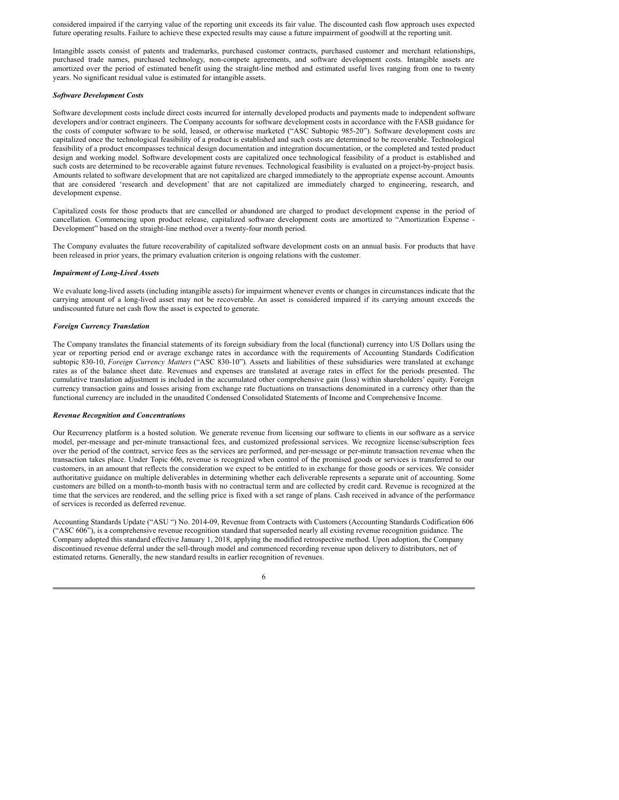considered impaired if the carrying value of the reporting unit exceeds its fair value. The discounted cash flow approach uses expected future operating results. Failure to achieve these expected results may cause a future impairment of goodwill at the reporting unit.

Intangible assets consist of patents and trademarks, purchased customer contracts, purchased customer and merchant relationships, purchased trade names, purchased technology, non-compete agreements, and software development costs. Intangible assets are amortized over the period of estimated benefit using the straight-line method and estimated useful lives ranging from one to twenty years. No significant residual value is estimated for intangible assets.

#### *Software Development Costs*

Software development costs include direct costs incurred for internally developed products and payments made to independent software developers and/or contract engineers. The Company accounts for software development costs in accordance with the FASB guidance for the costs of computer software to be sold, leased, or otherwise marketed ("ASC Subtopic 985-20"). Software development costs are capitalized once the technological feasibility of a product is established and such costs are determined to be recoverable. Technological feasibility of a product encompasses technical design documentation and integration documentation, or the completed and tested product design and working model. Software development costs are capitalized once technological feasibility of a product is established and such costs are determined to be recoverable against future revenues. Technological feasibility is evaluated on a project-by-project basis. Amounts related to software development that are not capitalized are charged immediately to the appropriate expense account. Amounts that are considered 'research and development' that are not capitalized are immediately charged to engineering, research, and development expense.

Capitalized costs for those products that are cancelled or abandoned are charged to product development expense in the period of cancellation. Commencing upon product release, capitalized software development costs are amortized to "Amortization Expense - Development" based on the straight-line method over a twenty-four month period.

The Company evaluates the future recoverability of capitalized software development costs on an annual basis. For products that have been released in prior years, the primary evaluation criterion is ongoing relations with the customer.

#### *Impairment of Long-Lived Assets*

We evaluate long-lived assets (including intangible assets) for impairment whenever events or changes in circumstances indicate that the carrying amount of a long-lived asset may not be recoverable. An asset is considered impaired if its carrying amount exceeds the undiscounted future net cash flow the asset is expected to generate.

# *Foreign Currency Translation*

The Company translates the financial statements of its foreign subsidiary from the local (functional) currency into US Dollars using the year or reporting period end or average exchange rates in accordance with the requirements of Accounting Standards Codification subtopic 830-10, *Foreign Currency Matters* ("ASC 830-10")*.* Assets and liabilities of these subsidiaries were translated at exchange rates as of the balance sheet date. Revenues and expenses are translated at average rates in effect for the periods presented. The cumulative translation adjustment is included in the accumulated other comprehensive gain (loss) within shareholders' equity. Foreign currency transaction gains and losses arising from exchange rate fluctuations on transactions denominated in a currency other than the functional currency are included in the unaudited Condensed Consolidated Statements of Income and Comprehensive Income.

#### *Revenue Recognition and Concentrations*

Our Recurrency platform is a hosted solution. We generate revenue from licensing our software to clients in our software as a service model, per-message and per-minute transactional fees, and customized professional services. We recognize license/subscription fees over the period of the contract, service fees as the services are performed, and per-message or per-minute transaction revenue when the transaction takes place. Under Topic 606, revenue is recognized when control of the promised goods or services is transferred to our customers, in an amount that reflects the consideration we expect to be entitled to in exchange for those goods or services. We consider authoritative guidance on multiple deliverables in determining whether each deliverable represents a separate unit of accounting. Some customers are billed on a month-to-month basis with no contractual term and are collected by credit card. Revenue is recognized at the time that the services are rendered, and the selling price is fixed with a set range of plans. Cash received in advance of the performance of services is recorded as deferred revenue.

Accounting Standards Update ("ASU ") No. 2014-09, Revenue from Contracts with Customers (Accounting Standards Codification 606 ("ASC 606"), is a comprehensive revenue recognition standard that superseded nearly all existing revenue recognition guidance. The Company adopted this standard effective January 1, 2018, applying the modified retrospective method. Upon adoption, the Company discontinued revenue deferral under the sell-through model and commenced recording revenue upon delivery to distributors, net of estimated returns. Generally, the new standard results in earlier recognition of revenues.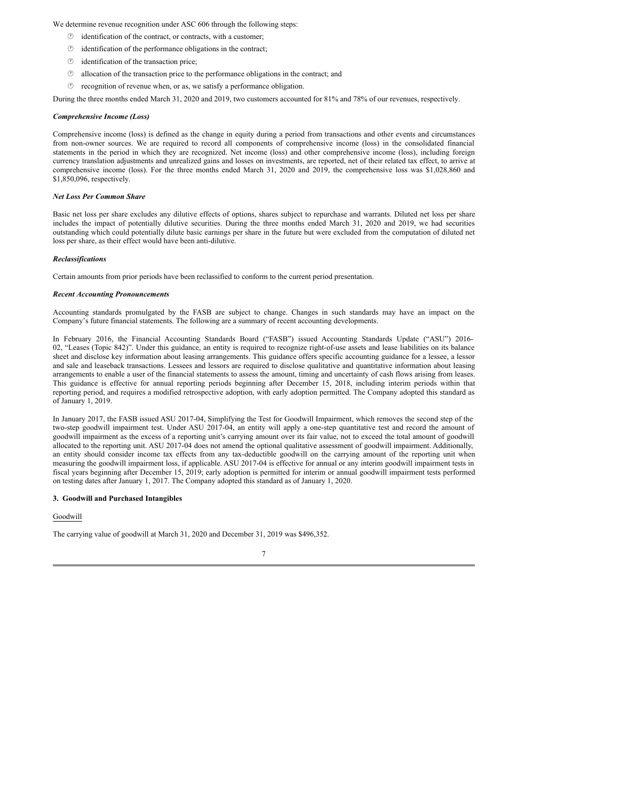We determine revenue recognition under ASC 606 through the following steps:

- $\circled{}$  identification of the contract, or contracts, with a customer;
- $\circledcirc$  identification of the performance obligations in the contract;
- $\circledcirc$  identification of the transaction price;
- allocation of the transaction price to the performance obligations in the contract; and ·
- recognition of revenue when, or as, we satisfy a performance obligation. ·

During the three months ended March 31, 2020 and 2019, two customers accounted for 81% and 78% of our revenues, respectively.

#### *Comprehensive Income (Loss)*

Comprehensive income (loss) is defined as the change in equity during a period from transactions and other events and circumstances from non-owner sources. We are required to record all components of comprehensive income (loss) in the consolidated financial statements in the period in which they are recognized. Net income (loss) and other comprehensive income (loss), including foreign currency translation adjustments and unrealized gains and losses on investments, are reported, net of their related tax effect, to arrive at comprehensive income (loss). For the three months ended March 31, 2020 and 2019, the comprehensive loss was \$1,028,860 and \$1,850,096, respectively.

#### *Net Loss Per Common Share*

Basic net loss per share excludes any dilutive effects of options, shares subject to repurchase and warrants. Diluted net loss per share includes the impact of potentially dilutive securities. During the three months ended March 31, 2020 and 2019, we had securities outstanding which could potentially dilute basic earnings per share in the future but were excluded from the computation of diluted net loss per share, as their effect would have been anti-dilutive.

#### *Reclassifications*

Certain amounts from prior periods have been reclassified to conform to the current period presentation.

#### *Recent Accounting Pronouncements*

Accounting standards promulgated by the FASB are subject to change. Changes in such standards may have an impact on the Company's future financial statements. The following are a summary of recent accounting developments.

In February 2016, the Financial Accounting Standards Board ("FASB") issued Accounting Standards Update ("ASU") 2016- 02, "Leases (Topic 842)". Under this guidance, an entity is required to recognize right-of-use assets and lease liabilities on its balance sheet and disclose key information about leasing arrangements. This guidance offers specific accounting guidance for a lessee, a lessor and sale and leaseback transactions. Lessees and lessors are required to disclose qualitative and quantitative information about leasing arrangements to enable a user of the financial statements to assess the amount, timing and uncertainty of cash flows arising from leases. This guidance is effective for annual reporting periods beginning after December 15, 2018, including interim periods within that reporting period, and requires a modified retrospective adoption, with early adoption permitted. The Company adopted this standard as of January 1, 2019.

In January 2017, the FASB issued ASU 2017-04, Simplifying the Test for Goodwill Impairment, which removes the second step of the two-step goodwill impairment test. Under ASU 2017-04, an entity will apply a one-step quantitative test and record the amount of goodwill impairment as the excess of a reporting unit's carrying amount over its fair value, not to exceed the total amount of goodwill allocated to the reporting unit. ASU 2017-04 does not amend the optional qualitative assessment of goodwill impairment. Additionally, an entity should consider income tax effects from any tax-deductible goodwill on the carrying amount of the reporting unit when measuring the goodwill impairment loss, if applicable. ASU 2017-04 is effective for annual or any interim goodwill impairment tests in fiscal years beginning after December 15, 2019; early adoption is permitted for interim or annual goodwill impairment tests performed on testing dates after January 1, 2017. The Company adopted this standard as of January 1, 2020.

## **3. Goodwill and Purchased Intangibles**

# Goodwill

The carrying value of goodwill at March 31, 2020 and December 31, 2019 was \$496,352.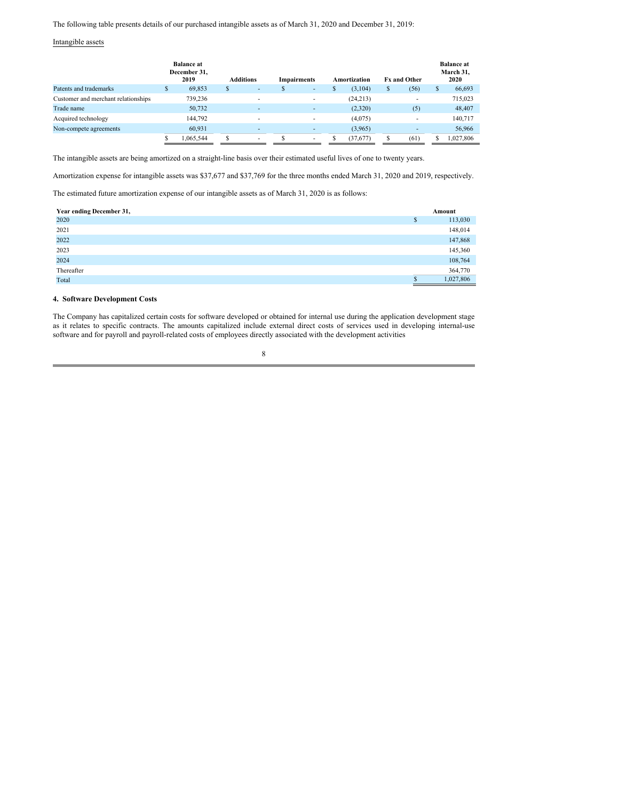The following table presents details of our purchased intangible assets as of March 31, 2020 and December 31, 2019:

#### Intangible assets

|                                     | <b>Balance at</b><br>December 31.<br>2019 |    | <b>Additions</b> | Impairments |   | Amortization |    | <b>Fx and Other</b> | <b>Balance</b> at<br>March 31,<br>2020 |
|-------------------------------------|-------------------------------------------|----|------------------|-------------|---|--------------|----|---------------------|----------------------------------------|
| Patents and trademarks              | 69,853                                    | \$ | ۰                |             | ۰ | (3,104)      | \$ | (56)                | 66,693                                 |
| Customer and merchant relationships | 739,236                                   |    |                  |             | ۰ | (24,213)     |    | ۰                   | 715,023                                |
| Trade name                          | 50,732                                    |    |                  |             | ۰ | (2,320)      |    | (5)                 | 48,407                                 |
| Acquired technology                 | 144,792                                   |    |                  |             |   | (4,075)      |    | ۰                   | 140,717                                |
| Non-compete agreements              | 60,931                                    |    | -                |             |   | (3,965)      |    |                     | 56,966                                 |
|                                     | 1.065.544                                 | S  | $\sim$           |             |   | (37,677)     | S  | (61)                | 1.027.806                              |

The intangible assets are being amortized on a straight-line basis over their estimated useful lives of one to twenty years.

Amortization expense for intangible assets was \$37,677 and \$37,769 for the three months ended March 31, 2020 and 2019, respectively.

The estimated future amortization expense of our intangible assets as of March 31, 2020 is as follows:

| Year ending December 31, |   | Amount    |
|--------------------------|---|-----------|
| 2020                     | S | 113,030   |
| 2021                     |   | 148,014   |
| 2022                     |   | 147,868   |
| 2023                     |   | 145,360   |
| 2024                     |   | 108,764   |
| Thereafter               |   | 364,770   |
| Total                    |   | 1,027,806 |

# **4. Software Development Costs**

The Company has capitalized certain costs for software developed or obtained for internal use during the application development stage as it relates to specific contracts. The amounts capitalized include external direct costs of services used in developing internal-use software and for payroll and payroll-related costs of employees directly associated with the development activities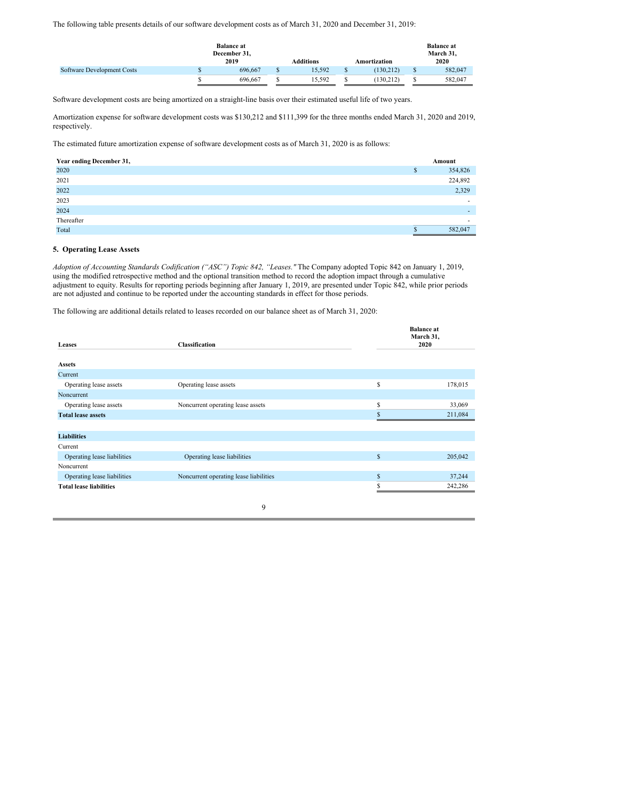The following table presents details of our software development costs as of March 31, 2020 and December 31, 2019:

|                            | <b>Balance</b> at<br>December 31,<br>2019 | Additions<br>Amortization |        |  |           |    | <b>Balance</b> at<br>March 31,<br>2020 |
|----------------------------|-------------------------------------------|---------------------------|--------|--|-----------|----|----------------------------------------|
| Software Development Costs | 696,667                                   |                           | 15.592 |  | (130.212) | J. | 582,047                                |
|                            | 696,667                                   |                           | 15.592 |  | (130.212) | Φ  | 582,047                                |

Software development costs are being amortized on a straight-line basis over their estimated useful life of two years.

Amortization expense for software development costs was \$130,212 and \$111,399 for the three months ended March 31, 2020 and 2019, respectively.

The estimated future amortization expense of software development costs as of March 31, 2020 is as follows:

# **Year ending December 31, Amount**

| Tem enuing becember 51, |    | $\sqrt{2}$               |
|-------------------------|----|--------------------------|
| 2020                    | Jэ | 354,826                  |
| 2021                    |    | 224,892                  |
| 2022                    |    | 2,329                    |
| 2023                    |    | ۰                        |
| 2024                    |    | $\overline{\phantom{0}}$ |
| Thereafter              |    | ۰                        |
| Total                   |    | 582,047                  |
|                         |    |                          |

# **5. Operating Lease Assets**

*Adoption of Accounting Standards Codification ("ASC") Topic 842, "Leases."* The Company adopted Topic 842 on January 1, 2019, using the modified retrospective method and the optional transition method to record the adoption impact through a cumulative adjustment to equity. Results for reporting periods beginning after January 1, 2019, are presented under Topic 842, while prior periods are not adjusted and continue to be reported under the accounting standards in effect for those periods.

The following are additional details related to leases recorded on our balance sheet as of March 31, 2020:

| Leases                         | Classification                         |              | <b>Balance</b> at<br>March 31,<br>2020 |
|--------------------------------|----------------------------------------|--------------|----------------------------------------|
|                                |                                        |              |                                        |
| Assets                         |                                        |              |                                        |
| Current                        |                                        |              |                                        |
| Operating lease assets         | Operating lease assets                 | \$           | 178,015                                |
| Noncurrent                     |                                        |              |                                        |
| Operating lease assets         | Noncurrent operating lease assets      | \$           | 33,069                                 |
| <b>Total lease assets</b>      |                                        |              | 211,084                                |
|                                |                                        |              |                                        |
| <b>Liabilities</b>             |                                        |              |                                        |
| Current                        |                                        |              |                                        |
| Operating lease liabilities    | Operating lease liabilities            | $\mathbb{S}$ | 205,042                                |
| Noncurrent                     |                                        |              |                                        |
| Operating lease liabilities    | Noncurrent operating lease liabilities | \$           | 37,244                                 |
| <b>Total lease liabilities</b> |                                        | ¢            | 242,286                                |
|                                |                                        |              |                                        |
|                                | 9                                      |              |                                        |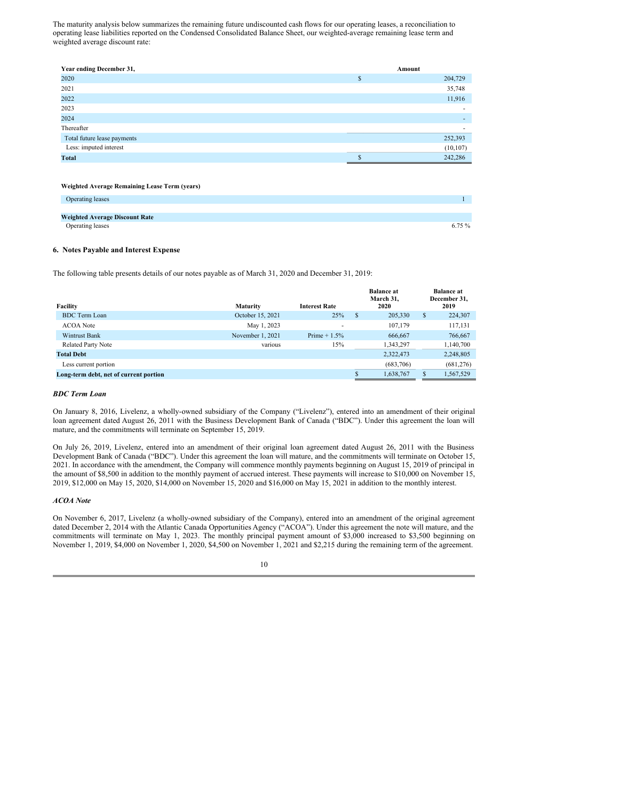The maturity analysis below summarizes the remaining future undiscounted cash flows for our operating leases, a reconciliation to operating lease liabilities reported on the Condensed Consolidated Balance Sheet, our weighted-average remaining lease term and weighted average discount rate:

| Year ending December 31,    |   | Amount    |
|-----------------------------|---|-----------|
| 2020                        | S | 204,729   |
| 2021                        |   | 35,748    |
| 2022                        |   | 11,916    |
| 2023                        |   |           |
| 2024                        |   | -         |
| Thereafter                  |   | ۰         |
| Total future lease payments |   | 252,393   |
| Less: imputed interest      |   | (10, 107) |
| <b>Total</b>                |   | 242,286   |
|                             |   |           |

#### **Weighted Average Remaining Lease Term (years)**

| Operating leases                      |      |
|---------------------------------------|------|
|                                       |      |
| <b>Weighted Average Discount Rate</b> |      |
| Operating leases                      | 75 % |

#### **6. Notes Payable and Interest Expense**

The following table presents details of our notes payable as of March 31, 2020 and December 31, 2019:

| Facility                               | Maturity         | <b>Interest Rate</b> |               | <b>Balance at</b><br>March 31.<br>2020 |   | <b>Balance at</b><br>December 31.<br>2019 |
|----------------------------------------|------------------|----------------------|---------------|----------------------------------------|---|-------------------------------------------|
| <b>BDC</b> Term Loan                   | October 15, 2021 | 25%                  | <sup>\$</sup> | 205,330                                | S | 224,307                                   |
| <b>ACOA</b> Note                       | May 1, 2023      | ۰                    |               | 107,179                                |   | 117,131                                   |
| Wintrust Bank                          | November 1, 2021 | Prime $+1.5\%$       |               | 666,667                                |   | 766,667                                   |
| <b>Related Party Note</b>              | various          | 15%                  |               | 1,343,297                              |   | 1,140,700                                 |
| <b>Total Debt</b>                      |                  |                      |               | 2,322,473                              |   | 2,248,805                                 |
| Less current portion                   |                  |                      |               | (683,706)                              |   | (681,276)                                 |
| Long-term debt, net of current portion |                  |                      |               | 1,638,767                              |   | 1,567,529                                 |

### *BDC Term Loan*

On January 8, 2016, Livelenz, a wholly-owned subsidiary of the Company ("Livelenz"), entered into an amendment of their original loan agreement dated August 26, 2011 with the Business Development Bank of Canada ("BDC"). Under this agreement the loan will mature, and the commitments will terminate on September 15, 2019.

On July 26, 2019, Livelenz, entered into an amendment of their original loan agreement dated August 26, 2011 with the Business Development Bank of Canada ("BDC"). Under this agreement the loan will mature, and the commitments will terminate on October 15, 2021. In accordance with the amendment, the Company will commence monthly payments beginning on August 15, 2019 of principal in the amount of \$8,500 in addition to the monthly payment of accrued interest. These payments will increase to \$10,000 on November 15, 2019, \$12,000 on May 15, 2020, \$14,000 on November 15, 2020 and \$16,000 on May 15, 2021 in addition to the monthly interest.

#### *ACOA Note*

On November 6, 2017, Livelenz (a wholly-owned subsidiary of the Company), entered into an amendment of the original agreement dated December 2, 2014 with the Atlantic Canada Opportunities Agency ("ACOA"). Under this agreement the note will mature, and the commitments will terminate on May 1, 2023. The monthly principal payment amount of \$3,000 increased to \$3,500 beginning on November 1, 2019, \$4,000 on November 1, 2020, \$4,500 on November 1, 2021 and \$2,215 during the remaining term of the agreement.

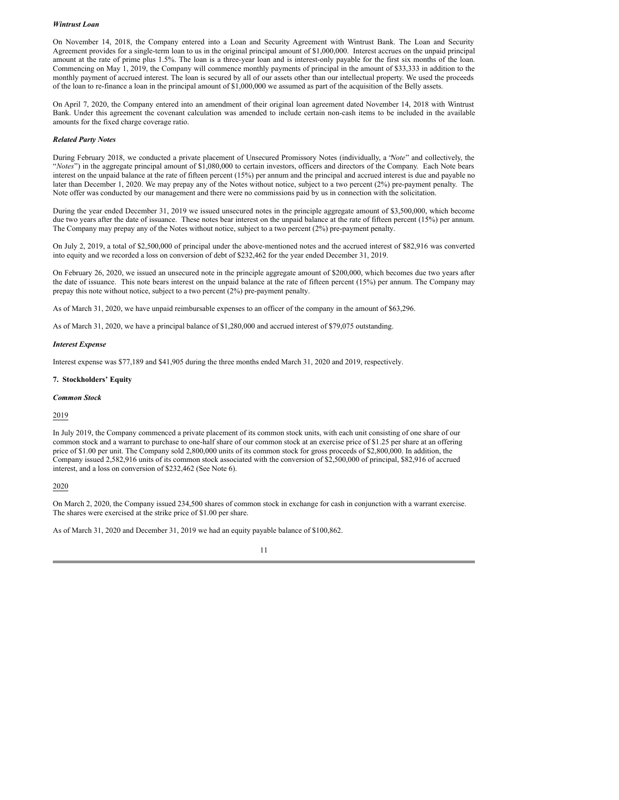# *Wintrust Loan*

On November 14, 2018, the Company entered into a Loan and Security Agreement with Wintrust Bank. The Loan and Security Agreement provides for a single-term loan to us in the original principal amount of \$1,000,000. Interest accrues on the unpaid principal amount at the rate of prime plus 1.5%. The loan is a three-year loan and is interest-only payable for the first six months of the loan. Commencing on May 1, 2019, the Company will commence monthly payments of principal in the amount of \$33,333 in addition to the monthly payment of accrued interest. The loan is secured by all of our assets other than our intellectual property. We used the proceeds of the loan to re-finance a loan in the principal amount of \$1,000,000 we assumed as part of the acquisition of the Belly assets.

On April 7, 2020, the Company entered into an amendment of their original loan agreement dated November 14, 2018 with Wintrust Bank. Under this agreement the covenant calculation was amended to include certain non-cash items to be included in the available amounts for the fixed charge coverage ratio.

## *Related Party Notes*

During February 2018, we conducted a private placement of Unsecured Promissory Notes (individually, a "*Note*" and collectively, the "*Notes*") in the aggregate principal amount of \$1,080,000 to certain investors, officers and directors of the Company. Each Note bears interest on the unpaid balance at the rate of fifteen percent (15%) per annum and the principal and accrued interest is due and payable no later than December 1, 2020. We may prepay any of the Notes without notice, subject to a two percent (2%) pre-payment penalty. The Note offer was conducted by our management and there were no commissions paid by us in connection with the solicitation.

During the year ended December 31, 2019 we issued unsecured notes in the principle aggregate amount of \$3,500,000, which become due two years after the date of issuance. These notes bear interest on the unpaid balance at the rate of fifteen percent (15%) per annum. The Company may prepay any of the Notes without notice, subject to a two percent (2%) pre-payment penalty.

On July 2, 2019, a total of \$2,500,000 of principal under the above-mentioned notes and the accrued interest of \$82,916 was converted into equity and we recorded a loss on conversion of debt of \$232,462 for the year ended December 31, 2019.

On February 26, 2020, we issued an unsecured note in the principle aggregate amount of \$200,000, which becomes due two years after the date of issuance. This note bears interest on the unpaid balance at the rate of fifteen percent (15%) per annum. The Company may prepay this note without notice, subject to a two percent  $(2%)$  pre-payment penalty.

As of March 31, 2020, we have unpaid reimbursable expenses to an officer of the company in the amount of \$63,296.

As of March 31, 2020, we have a principal balance of \$1,280,000 and accrued interest of \$79,075 outstanding.

#### *Interest Expense*

Interest expense was \$77,189 and \$41,905 during the three months ended March 31, 2020 and 2019, respectively.

#### **7. Stockholders' Equity**

*Common Stock*

2019

In July 2019, the Company commenced a private placement of its common stock units, with each unit consisting of one share of our common stock and a warrant to purchase to one-half share of our common stock at an exercise price of \$1.25 per share at an offering price of \$1.00 per unit. The Company sold 2,800,000 units of its common stock for gross proceeds of \$2,800,000. In addition, the Company issued 2,582,916 units of its common stock associated with the conversion of \$2,500,000 of principal, \$82,916 of accrued interest, and a loss on conversion of \$232,462 (See Note 6).

# 2020

On March 2, 2020, the Company issued 234,500 shares of common stock in exchange for cash in conjunction with a warrant exercise. The shares were exercised at the strike price of \$1.00 per share.

As of March 31, 2020 and December 31, 2019 we had an equity payable balance of \$100,862.

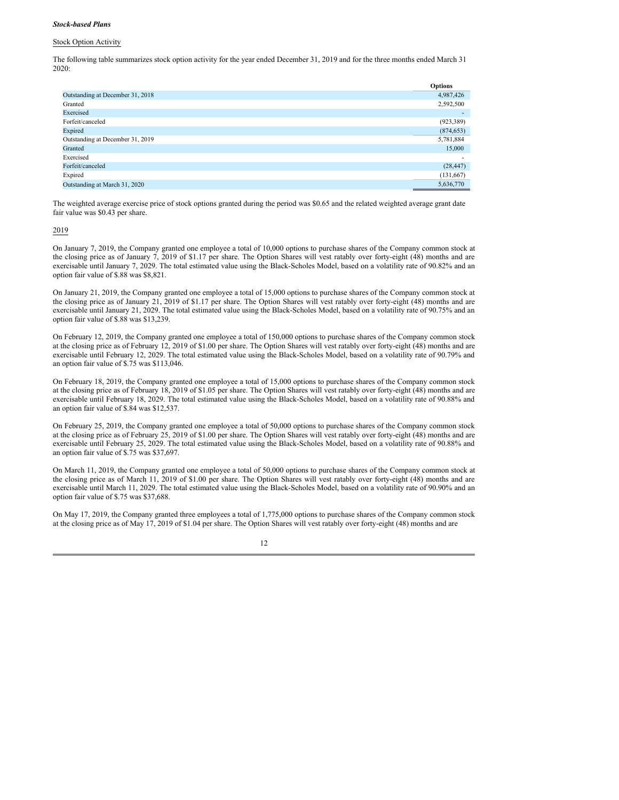#### *Stock-based Plans*

## Stock Option Activity

The following table summarizes stock option activity for the year ended December 31, 2019 and for the three months ended March 31 2020:

**Options**

|                                  | <b>Options</b> |
|----------------------------------|----------------|
| Outstanding at December 31, 2018 | 4,987,426      |
| Granted                          | 2,592,500      |
| Exercised                        |                |
| Forfeit/canceled                 | (923, 389)     |
| Expired                          | (874, 653)     |
| Outstanding at December 31, 2019 | 5,781,884      |
| Granted                          | 15,000         |
| Exercised                        |                |
| Forfeit/canceled                 | (28, 447)      |
| Expired                          | (131, 667)     |
| Outstanding at March 31, 2020    | 5,636,770      |
|                                  |                |

The weighted average exercise price of stock options granted during the period was \$0.65 and the related weighted average grant date fair value was \$0.43 per share.

# 2019

On January 7, 2019, the Company granted one employee a total of 10,000 options to purchase shares of the Company common stock at the closing price as of January 7, 2019 of \$1.17 per share. The Option Shares will vest ratably over forty-eight (48) months and are exercisable until January 7, 2029. The total estimated value using the Black-Scholes Model, based on a volatility rate of 90.82% and an option fair value of \$.88 was \$8,821.

On January 21, 2019, the Company granted one employee a total of 15,000 options to purchase shares of the Company common stock at the closing price as of January 21, 2019 of \$1.17 per share. The Option Shares will vest ratably over forty-eight (48) months and are exercisable until January 21, 2029. The total estimated value using the Black-Scholes Model, based on a volatility rate of 90.75% and an option fair value of \$.88 was \$13,239.

On February 12, 2019, the Company granted one employee a total of 150,000 options to purchase shares of the Company common stock at the closing price as of February 12, 2019 of \$1.00 per share. The Option Shares will vest ratably over forty-eight (48) months and are exercisable until February 12, 2029. The total estimated value using the Black-Scholes Model, based on a volatility rate of 90.79% and an option fair value of \$.75 was \$113,046.

On February 18, 2019, the Company granted one employee a total of 15,000 options to purchase shares of the Company common stock at the closing price as of February 18, 2019 of \$1.05 per share. The Option Shares will vest ratably over forty-eight (48) months and are exercisable until February 18, 2029. The total estimated value using the Black-Scholes Model, based on a volatility rate of 90.88% and an option fair value of \$.84 was \$12,537.

On February 25, 2019, the Company granted one employee a total of 50,000 options to purchase shares of the Company common stock at the closing price as of February 25, 2019 of \$1.00 per share. The Option Shares will vest ratably over forty-eight (48) months and are exercisable until February 25, 2029. The total estimated value using the Black-Scholes Model, based on a volatility rate of 90.88% and an option fair value of \$.75 was \$37,697.

On March 11, 2019, the Company granted one employee a total of 50,000 options to purchase shares of the Company common stock at the closing price as of March 11, 2019 of \$1.00 per share. The Option Shares will vest ratably over forty-eight (48) months and are exercisable until March 11, 2029. The total estimated value using the Black-Scholes Model, based on a volatility rate of 90.90% and an option fair value of \$.75 was \$37,688.

On May 17, 2019, the Company granted three employees a total of 1,775,000 options to purchase shares of the Company common stock at the closing price as of May 17, 2019 of \$1.04 per share. The Option Shares will vest ratably over forty-eight (48) months and are

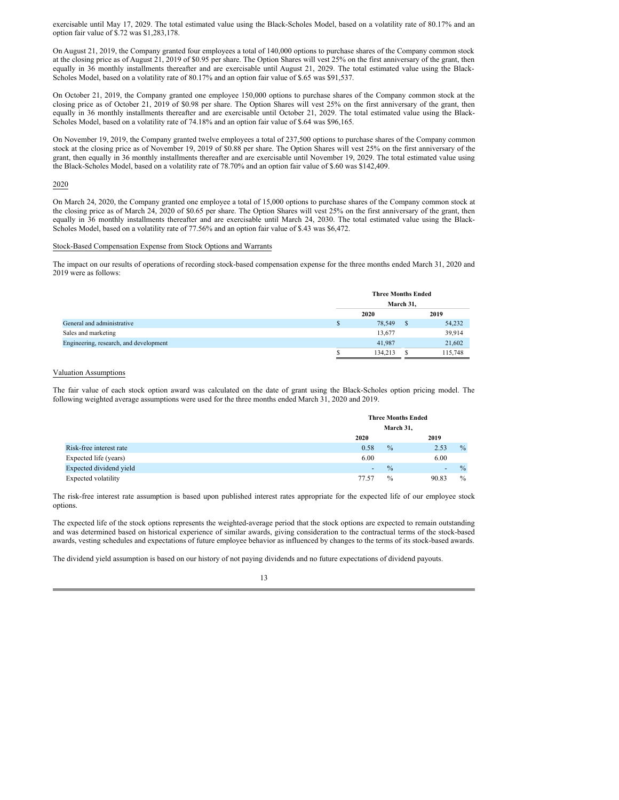exercisable until May 17, 2029. The total estimated value using the Black-Scholes Model, based on a volatility rate of 80.17% and an option fair value of \$.72 was \$1,283,178.

On August 21, 2019, the Company granted four employees a total of 140,000 options to purchase shares of the Company common stock at the closing price as of August 21, 2019 of \$0.95 per share. The Option Shares will vest 25% on the first anniversary of the grant, then equally in 36 monthly installments thereafter and are exercisable until August 21, 2029. The total estimated value using the Black-Scholes Model, based on a volatility rate of 80.17% and an option fair value of \$.65 was \$91,537.

On October 21, 2019, the Company granted one employee 150,000 options to purchase shares of the Company common stock at the closing price as of October 21, 2019 of \$0.98 per share. The Option Shares will vest 25% on the first anniversary of the grant, then equally in 36 monthly installments thereafter and are exercisable until October 21, 2029. The total estimated value using the Black-Scholes Model, based on a volatility rate of 74.18% and an option fair value of \$.64 was \$96,165.

On November 19, 2019, the Company granted twelve employees a total of 237,500 options to purchase shares of the Company common stock at the closing price as of November 19, 2019 of \$0.88 per share. The Option Shares will vest 25% on the first anniversary of the grant, then equally in 36 monthly installments thereafter and are exercisable until November 19, 2029. The total estimated value using the Black-Scholes Model, based on a volatility rate of 78.70% and an option fair value of \$.60 was \$142,409.

# 2020

On March 24, 2020, the Company granted one employee a total of 15,000 options to purchase shares of the Company common stock at the closing price as of March 24, 2020 of \$0.65 per share. The Option Shares will vest 25% on the first anniversary of the grant, then equally in 36 monthly installments thereafter and are exercisable until March 24, 2030. The total estimated value using the Black-Scholes Model, based on a volatility rate of 77.56% and an option fair value of \$.43 was \$6,472.

#### Stock-Based Compensation Expense from Stock Options and Warrants

The impact on our results of operations of recording stock-based compensation expense for the three months ended March 31, 2020 and 2019 were as follows:

|                                        |   | <b>Three Months Ended</b> |  |         |  |  |  |
|----------------------------------------|---|---------------------------|--|---------|--|--|--|
|                                        |   | March 31,                 |  |         |  |  |  |
|                                        |   | 2019                      |  |         |  |  |  |
| General and administrative             | S | 78,549                    |  | 54,232  |  |  |  |
| Sales and marketing                    |   | 13,677                    |  | 39,914  |  |  |  |
| Engineering, research, and development |   | 41.987                    |  | 21,602  |  |  |  |
|                                        |   | 134.213                   |  | 115,748 |  |  |  |

#### Valuation Assumptions

The fair value of each stock option award was calculated on the date of grant using the Black-Scholes option pricing model. The following weighted average assumptions were used for the three months ended March 31, 2020 and 2019.

|                         |       | <b>Three Months Ended</b> |       |               |  |  |  |
|-------------------------|-------|---------------------------|-------|---------------|--|--|--|
|                         |       | March 31,                 |       |               |  |  |  |
|                         | 2020  |                           | 2019  |               |  |  |  |
| Risk-free interest rate | 0.58  | $\frac{0}{0}$             | 2.53  | $\frac{0}{0}$ |  |  |  |
| Expected life (years)   | 6.00  |                           | 6.00  |               |  |  |  |
| Expected dividend yield | ۰     | $\frac{0}{0}$             | ٠     | $\frac{0}{0}$ |  |  |  |
| Expected volatility     | 77.57 | $\frac{0}{0}$             | 90.83 | $\frac{0}{0}$ |  |  |  |

The risk-free interest rate assumption is based upon published interest rates appropriate for the expected life of our employee stock options.

The expected life of the stock options represents the weighted-average period that the stock options are expected to remain outstanding and was determined based on historical experience of similar awards, giving consideration to the contractual terms of the stock-based awards, vesting schedules and expectations of future employee behavior as influenced by changes to the terms of its stock-based awards.

The dividend yield assumption is based on our history of not paying dividends and no future expectations of dividend payouts.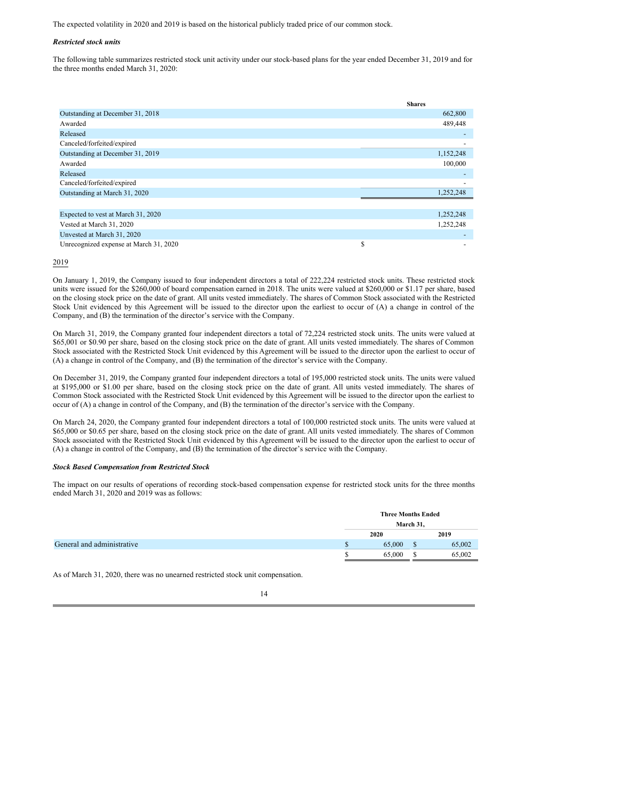The expected volatility in 2020 and 2019 is based on the historical publicly traded price of our common stock.

#### *Restricted stock units*

The following table summarizes restricted stock unit activity under our stock-based plans for the year ended December 31, 2019 and for the three months ended March 31, 2020:

|                                        | <b>Shares</b> |
|----------------------------------------|---------------|
| Outstanding at December 31, 2018       | 662,800       |
| Awarded                                | 489,448       |
| Released                               |               |
| Canceled/forfeited/expired             |               |
| Outstanding at December 31, 2019       | 1,152,248     |
| Awarded                                | 100,000       |
| Released                               |               |
| Canceled/forfeited/expired             |               |
| Outstanding at March 31, 2020          | 1,252,248     |
|                                        |               |
| Expected to vest at March 31, 2020     | 1,252,248     |
| Vested at March 31, 2020               | 1,252,248     |
| Unvested at March 31, 2020             |               |
| Unrecognized expense at March 31, 2020 | S             |

# 2019

On January 1, 2019, the Company issued to four independent directors a total of 222,224 restricted stock units. These restricted stock units were issued for the \$260,000 of board compensation earned in 2018. The units were valued at \$260,000 or \$1.17 per share, based on the closing stock price on the date of grant. All units vested immediately. The shares of Common Stock associated with the Restricted Stock Unit evidenced by this Agreement will be issued to the director upon the earliest to occur of (A) a change in control of the Company, and (B) the termination of the director's service with the Company.

On March 31, 2019, the Company granted four independent directors a total of 72,224 restricted stock units. The units were valued at \$65,001 or \$0.90 per share, based on the closing stock price on the date of grant. All units vested immediately. The shares of Common Stock associated with the Restricted Stock Unit evidenced by this Agreement will be issued to the director upon the earliest to occur of (A) a change in control of the Company, and (B) the termination of the director's service with the Company.

On December 31, 2019, the Company granted four independent directors a total of 195,000 restricted stock units. The units were valued at \$195,000 or \$1.00 per share, based on the closing stock price on the date of grant. All units vested immediately. The shares of Common Stock associated with the Restricted Stock Unit evidenced by this Agreement will be issued to the director upon the earliest to occur of (A) a change in control of the Company, and (B) the termination of the director's service with the Company.

On March 24, 2020, the Company granted four independent directors a total of 100,000 restricted stock units. The units were valued at \$65,000 or \$0.65 per share, based on the closing stock price on the date of grant. All units vested immediately. The shares of Common Stock associated with the Restricted Stock Unit evidenced by this Agreement will be issued to the director upon the earliest to occur of (A) a change in control of the Company, and (B) the termination of the director's service with the Company.

## *Stock Based Compensation from Restricted Stock*

The impact on our results of operations of recording stock-based compensation expense for restricted stock units for the three months ended March 31, 2020 and 2019 was as follows:

|                            |    | <b>Three Months Ended</b> |     |        |  |
|----------------------------|----|---------------------------|-----|--------|--|
|                            |    | March 31.                 |     |        |  |
|                            |    | 2020                      |     | 2019   |  |
| General and administrative | X, | 65,000                    | . п | 65,002 |  |
|                            |    | 65,000                    |     | 65,002 |  |

As of March 31, 2020, there was no unearned restricted stock unit compensation.

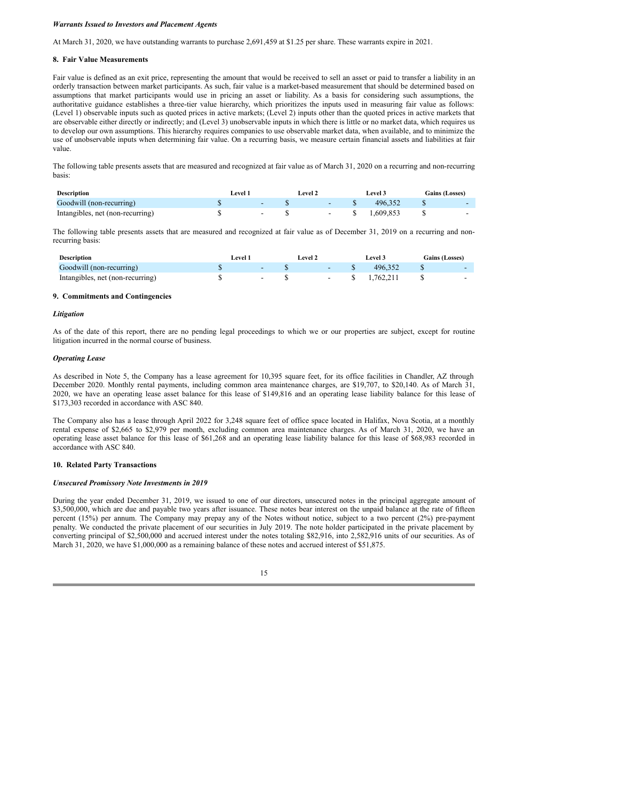#### *Warrants Issued to Investors and Placement Agents*

At March 31, 2020, we have outstanding warrants to purchase 2,691,459 at \$1.25 per share. These warrants expire in 2021.

#### **8. Fair Value Measurements**

Fair value is defined as an exit price, representing the amount that would be received to sell an asset or paid to transfer a liability in an orderly transaction between market participants. As such, fair value is a market-based measurement that should be determined based on assumptions that market participants would use in pricing an asset or liability. As a basis for considering such assumptions, the authoritative guidance establishes a three-tier value hierarchy, which prioritizes the inputs used in measuring fair value as follows: (Level 1) observable inputs such as quoted prices in active markets; (Level 2) inputs other than the quoted prices in active markets that are observable either directly or indirectly; and (Level 3) unobservable inputs in which there is little or no market data, which requires us to develop our own assumptions. This hierarchy requires companies to use observable market data, when available, and to minimize the use of unobservable inputs when determining fair value. On a recurring basis, we measure certain financial assets and liabilities at fair value.

The following table presents assets that are measured and recognized at fair value as of March 31, 2020 on a recurring and non-recurring basis:

| <b>Description</b>               | Level 1 | Level 2       | Level 3   | <b>Gains (Losses)</b> |
|----------------------------------|---------|---------------|-----------|-----------------------|
| Goodwill (non-recurring)         |         |               | 496.352   |                       |
| Intangibles, net (non-recurring) |         | $\sim$ $\sim$ | 1.609.853 |                       |

The following table presents assets that are measured and recognized at fair value as of December 31, 2019 on a recurring and nonrecurring basis:

| Description                      | Level 1 | Level 2 |  | <b>Level 3</b>   |      | <b>Gains (Losses)</b> |
|----------------------------------|---------|---------|--|------------------|------|-----------------------|
| Goodwill (non-recurring)         |         |         |  | 496.352          | - 85 |                       |
| Intangibles, net (non-recurring) |         |         |  | $-$ \$ 1.762.211 |      |                       |

## **9. Commitments and Contingencies**

#### *Litigation*

As of the date of this report, there are no pending legal proceedings to which we or our properties are subject, except for routine litigation incurred in the normal course of business.

#### *Operating Lease*

As described in Note 5, the Company has a lease agreement for 10,395 square feet, for its office facilities in Chandler, AZ through December 2020. Monthly rental payments, including common area maintenance charges, are \$19,707, to \$20,140. As of March 31, 2020, we have an operating lease asset balance for this lease of \$149,816 and an operating lease liability balance for this lease of \$173,303 recorded in accordance with ASC 840.

The Company also has a lease through April 2022 for 3,248 square feet of office space located in Halifax, Nova Scotia, at a monthly rental expense of \$2,665 to \$2,979 per month, excluding common area maintenance charges. As of March 31, 2020, we have an operating lease asset balance for this lease of \$61,268 and an operating lease liability balance for this lease of \$68,983 recorded in accordance with ASC 840.

# **10. Related Party Transactions**

## *Unsecured Promissory Note Investments in 2019*

During the year ended December 31, 2019, we issued to one of our directors, unsecured notes in the principal aggregate amount of \$3,500,000, which are due and payable two years after issuance. These notes bear interest on the unpaid balance at the rate of fifteen percent (15%) per annum. The Company may prepay any of the Notes without notice, subject to a two percent (2%) pre-payment penalty. We conducted the private placement of our securities in July 2019. The note holder participated in the private placement by converting principal of \$2,500,000 and accrued interest under the notes totaling \$82,916, into 2,582,916 units of our securities. As of March 31, 2020, we have \$1,000,000 as a remaining balance of these notes and accrued interest of \$51,875.

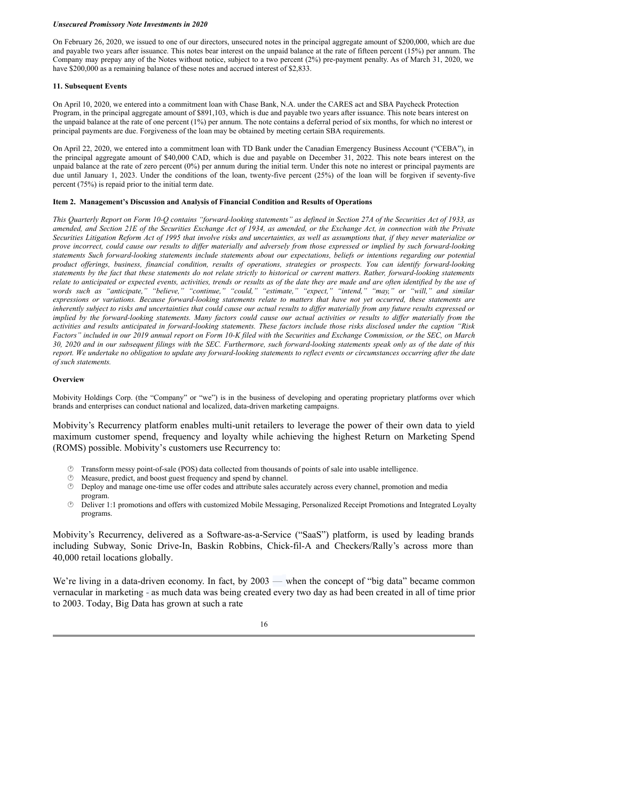#### *Unsecured Promissory Note Investments in 2020*

On February 26, 2020, we issued to one of our directors, unsecured notes in the principal aggregate amount of \$200,000, which are due and payable two years after issuance. This notes bear interest on the unpaid balance at the rate of fifteen percent (15%) per annum. The Company may prepay any of the Notes without notice, subject to a two percent (2%) pre-payment penalty. As of March 31, 2020, we have \$200,000 as a remaining balance of these notes and accrued interest of \$2,833.

#### **11. Subsequent Events**

On April 10, 2020, we entered into a commitment loan with Chase Bank, N.A. under the CARES act and SBA Paycheck Protection Program, in the principal aggregate amount of \$891,103, which is due and payable two years after issuance. This note bears interest on the unpaid balance at the rate of one percent (1%) per annum. The note contains a deferral period of six months, for which no interest or principal payments are due. Forgiveness of the loan may be obtained by meeting certain SBA requirements.

On April 22, 2020, we entered into a commitment loan with TD Bank under the Canadian Emergency Business Account ("CEBA"), in the principal aggregate amount of \$40,000 CAD, which is due and payable on December 31, 2022. This note bears interest on the unpaid balance at the rate of zero percent (0%) per annum during the initial term. Under this note no interest or principal payments are due until January 1, 2023. Under the conditions of the loan, twenty-five percent (25%) of the loan will be forgiven if seventy-five percent (75%) is repaid prior to the initial term date.

#### <span id="page-17-0"></span>**Item 2. Management's Discussion and Analysis of Financial Condition and Results of Operations**

This Quarterly Report on Form 10-Q contains "forward-looking statements" as defined in Section 27A of the Securities Act of 1933, as amended, and Section 21E of the Securities Exchange Act of 1934, as amended, or the Exchange Act, in connection with the Private Securities Litigation Reform Act of 1995 that involve risks and uncertainties, as well as assumptions that, if they never materialize or prove incorrect, could cause our results to differ materially and adversely from those expressed or implied by such forward-looking statements Such forward-looking statements include statements about our expectations, beliefs or intentions regarding our potential product offerings, business, financial condition, results of operations, strategies or prospects. You can identify forward-looking statements by the fact that these statements do not relate strictly to historical or current matters. Rather, forward-looking statements relate to anticipated or expected events, activities, trends or results as of the date they are made and are often identified by the use of words such as "anticipate," "believe," "continue," "could," "estimate," "expect," "intend," "may," or "will," and similar expressions or variations. Because forward-looking statements relate to matters that have not yet occurred, these statements are inherently subject to risks and uncertainties that could cause our actual results to differ materially from any future results expressed or implied by the forward-looking statements. Many factors could cause our actual activities or results to differ materially from the activities and results anticipated in forward-looking statements. These factors include those risks disclosed under the caption "Risk Factors" included in our 2019 annual report on Form 10-K filed with the Securities and Exchange Commission, or the SEC, on March 30, 2020 and in our subsequent filings with the SEC. Furthermore, such forward-looking statements speak only as of the date of this report. We undertake no obligation to update any forward-looking statements to reflect events or circumstances occurring after the date *of such statements.*

#### **Overview**

Mobivity Holdings Corp. (the "Company" or "we") is in the business of developing and operating proprietary platforms over which brands and enterprises can conduct national and localized, data-driven marketing campaigns.

Mobivity's Recurrency platform enables multi-unit retailers to leverage the power of their own data to yield maximum customer spend, frequency and loyalty while achieving the highest Return on Marketing Spend (ROMS) possible. Mobivity's customers use Recurrency to:

- Transform messy point-of-sale (POS) data collected from thousands of points of sale into usable intelligence. ·
- Measure, predict, and boost guest frequency and spend by channel. ·
- $©$  Deploy and manage one-time use offer codes and attribute sales accurately across every channel, promotion and media program.
- $©$  Deliver 1:1 promotions and offers with customized Mobile Messaging, Personalized Receipt Promotions and Integrated Loyalty programs.

Mobivity's Recurrency, delivered as a Software-as-a-Service ("SaaS") platform, is used by leading brands including Subway, Sonic Drive-In, Baskin Robbins, Chick-fil-A and Checkers/Rally's across more than 40,000 retail locations globally.

We're living in a data-driven economy. In fact, by 2003 — when the concept of "big data" became common vernacular in marketing - as much data was being created every two day as had been created in all of time prior to 2003. Today, Big Data has grown at such a rate

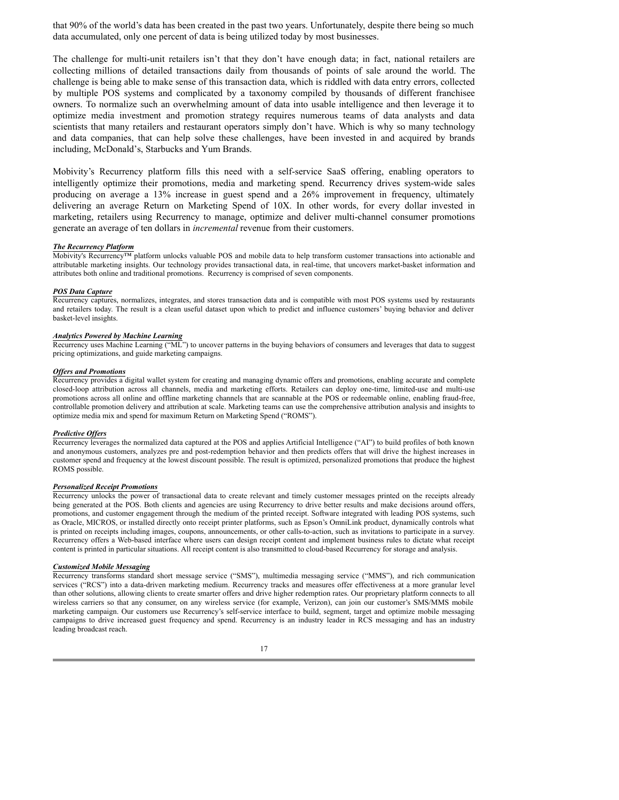that 90% of the world's data has been created in the past two years. Unfortunately, despite there being so much data accumulated, only one percent of data is being utilized today by most businesses.

The challenge for multi-unit retailers isn't that they don't have enough data; in fact, national retailers are collecting millions of detailed transactions daily from thousands of points of sale around the world. The challenge is being able to make sense of this transaction data, which is riddled with data entry errors, collected by multiple POS systems and complicated by a taxonomy compiled by thousands of different franchisee owners. To normalize such an overwhelming amount of data into usable intelligence and then leverage it to optimize media investment and promotion strategy requires numerous teams of data analysts and data scientists that many retailers and restaurant operators simply don't have. Which is why so many technology and data companies, that can help solve these challenges, have been invested in and acquired by brands including, McDonald's, Starbucks and Yum Brands.

Mobivity's Recurrency platform fills this need with a self-service SaaS offering, enabling operators to intelligently optimize their promotions, media and marketing spend. Recurrency drives system-wide sales producing on average a 13% increase in guest spend and a 26% improvement in frequency, ultimately delivering an average Return on Marketing Spend of 10X. In other words, for every dollar invested in marketing, retailers using Recurrency to manage, optimize and deliver multi-channel consumer promotions generate an average of ten dollars in *incremental* revenue from their customers.

#### *The Recurrency Platform*

Mobivity's Recurrency™ platform unlocks valuable POS and mobile data to help transform customer transactions into actionable and attributable marketing insights. Our technology provides transactional data, in real-time, that uncovers market-basket information and attributes both online and traditional promotions. Recurrency is comprised of seven components.

# *POS Data Capture*

Recurrency captures, normalizes, integrates, and stores transaction data and is compatible with most POS systems used by restaurants and retailers today. The result is a clean useful dataset upon which to predict and influence customers' buying behavior and deliver basket-level insights.

#### *Analytics Powered by Machine Learning*

Recurrency uses Machine Learning ("ML") to uncover patterns in the buying behaviors of consumers and leverages that data to suggest pricing optimizations, and guide marketing campaigns.

# *Of ers and Promotions*

Recurrency provides a digital wallet system for creating and managing dynamic offers and promotions, enabling accurate and complete closed-loop attribution across all channels, media and marketing efforts. Retailers can deploy one-time, limited-use and multi-use promotions across all online and offline marketing channels that are scannable at the POS or redeemable online, enabling fraud-free, controllable promotion delivery and attribution at scale. Marketing teams can use the comprehensive attribution analysis and insights to optimize media mix and spend for maximum Return on Marketing Spend ("ROMS").

#### *Predictive Of ers*

Recurrency leverages the normalized data captured at the POS and applies Artificial Intelligence ("AI") to build profiles of both known and anonymous customers, analyzes pre and post-redemption behavior and then predicts offers that will drive the highest increases in customer spend and frequency at the lowest discount possible. The result is optimized, personalized promotions that produce the highest ROMS possible.

## *Personalized Receipt Promotions*

Recurrency unlocks the power of transactional data to create relevant and timely customer messages printed on the receipts already being generated at the POS. Both clients and agencies are using Recurrency to drive better results and make decisions around offers, promotions, and customer engagement through the medium of the printed receipt. Software integrated with leading POS systems, such as Oracle, MICROS, or installed directly onto receipt printer platforms, such as Epson's OmniLink product, dynamically controls what is printed on receipts including images, coupons, announcements, or other calls-to-action, such as invitations to participate in a survey. Recurrency offers a Web-based interface where users can design receipt content and implement business rules to dictate what receipt content is printed in particular situations. All receipt content is also transmitted to cloud-based Recurrency for storage and analysis.

# *Customized Mobile Messaging*

Recurrency transforms standard short message service ("SMS"), multimedia messaging service ("MMS"), and rich communication services ("RCS") into a data-driven marketing medium. Recurrency tracks and measures offer effectiveness at a more granular level than other solutions, allowing clients to create smarter offers and drive higher redemption rates. Our proprietary platform connects to all wireless carriers so that any consumer, on any wireless service (for example, Verizon), can join our customer's SMS/MMS mobile marketing campaign. Our customers use Recurrency's self-service interface to build, segment, target and optimize mobile messaging campaigns to drive increased guest frequency and spend. Recurrency is an industry leader in RCS messaging and has an industry leading broadcast reach.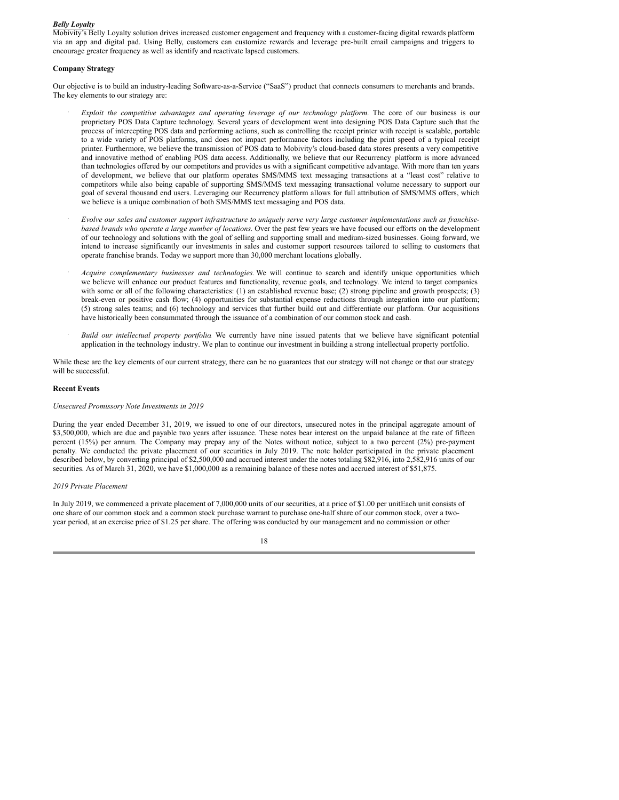# *Belly Loyalty*

Mobivity's Belly Loyalty solution drives increased customer engagement and frequency with a customer-facing digital rewards platform via an app and digital pad. Using Belly, customers can customize rewards and leverage pre-built email campaigns and triggers to encourage greater frequency as well as identify and reactivate lapsed customers.

#### **Company Strategy**

Our objective is to build an industry-leading Software-as-a-Service ("SaaS") product that connects consumers to merchants and brands. The key elements to our strategy are:

- *Exploit the competitive advantages and operating leverage of our technology platform.* The core of our business is our proprietary POS Data Capture technology. Several years of development went into designing POS Data Capture such that the process of intercepting POS data and performing actions, such as controlling the receipt printer with receipt is scalable, portable to a wide variety of POS platforms, and does not impact performance factors including the print speed of a typical receipt printer. Furthermore, we believe the transmission of POS data to Mobivity's cloud-based data stores presents a very competitive and innovative method of enabling POS data access. Additionally, we believe that our Recurrency platform is more advanced than technologies offered by our competitors and provides us with a significant competitive advantage. With more than ten years of development, we believe that our platform operates SMS/MMS text messaging transactions at a "least cost" relative to competitors while also being capable of supporting SMS/MMS text messaging transactional volume necessary to support our goal of several thousand end users. Leveraging our Recurrency platform allows for full attribution of SMS/MMS offers, which we believe is a unique combination of both SMS/MMS text messaging and POS data. ·
- Evolve our sales and customer support infrastructure to uniquely serve very large customer implementations such as franchise*based brands who operate a large number of locations.* Over the past few years we have focused our efforts on the development of our technology and solutions with the goal of selling and supporting small and medium-sized businesses. Going forward, we intend to increase significantly our investments in sales and customer support resources tailored to selling to customers that operate franchise brands. Today we support more than 30,000 merchant locations globally. ·
- *Acquire complementary businesses and technologies.* We will continue to search and identify unique opportunities which we believe will enhance our product features and functionality, revenue goals, and technology. We intend to target companies with some or all of the following characteristics: (1) an established revenue base; (2) strong pipeline and growth prospects; (3) break-even or positive cash flow; (4) opportunities for substantial expense reductions through integration into our platform; (5) strong sales teams; and (6) technology and services that further build out and differentiate our platform. Our acquisitions have historically been consummated through the issuance of a combination of our common stock and cash. ·
- *Build our intellectual property portfolio*. We currently have nine issued patents that we believe have significant potential application in the technology industry. We plan to continue our investment in building a strong intellectual property portfolio. ·

While these are the key elements of our current strategy, there can be no guarantees that our strategy will not change or that our strategy will be successful.

#### **Recent Events**

# *Unsecured Promissory Note Investments in 2019*

During the year ended December 31, 2019, we issued to one of our directors, unsecured notes in the principal aggregate amount of \$3,500,000, which are due and payable two years after issuance. These notes bear interest on the unpaid balance at the rate of fifteen percent (15%) per annum. The Company may prepay any of the Notes without notice, subject to a two percent (2%) pre-payment penalty. We conducted the private placement of our securities in July 2019. The note holder participated in the private placement described below, by converting principal of \$2,500,000 and accrued interest under the notes totaling \$82,916, into 2,582,916 units of our securities. As of March 31, 2020, we have \$1,000,000 as a remaining balance of these notes and accrued interest of \$51,875.

#### *2019 Private Placement*

In July 2019, we commenced a private placement of 7,000,000 units of our securities, at a price of \$1.00 per unitEach unit consists of one share of our common stock and a common stock purchase warrant to purchase one-half share of our common stock, over a twoyear period, at an exercise price of \$1.25 per share. The offering was conducted by our management and no commission or other

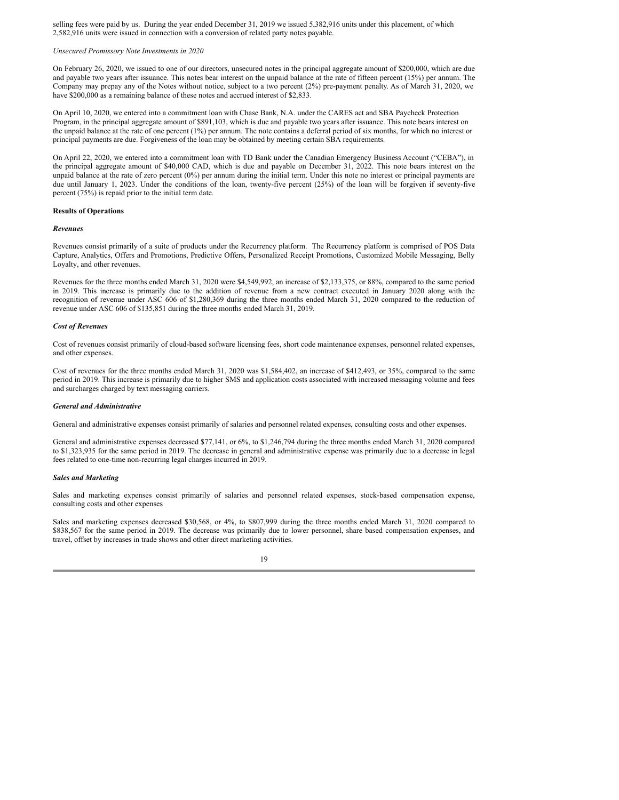selling fees were paid by us. During the year ended December 31, 2019 we issued 5,382,916 units under this placement, of which 2,582,916 units were issued in connection with a conversion of related party notes payable.

## *Unsecured Promissory Note Investments in 2020*

On February 26, 2020, we issued to one of our directors, unsecured notes in the principal aggregate amount of \$200,000, which are due and payable two years after issuance. This notes bear interest on the unpaid balance at the rate of fifteen percent (15%) per annum. The Company may prepay any of the Notes without notice, subject to a two percent (2%) pre-payment penalty. As of March 31, 2020, we have \$200,000 as a remaining balance of these notes and accrued interest of \$2,833.

On April 10, 2020, we entered into a commitment loan with Chase Bank, N.A. under the CARES act and SBA Paycheck Protection Program, in the principal aggregate amount of \$891,103, which is due and payable two years after issuance. This note bears interest on the unpaid balance at the rate of one percent  $(1\%)$  per annum. The note contains a deferral period of six months, for which no interest or principal payments are due. Forgiveness of the loan may be obtained by meeting certain SBA requirements.

On April 22, 2020, we entered into a commitment loan with TD Bank under the Canadian Emergency Business Account ("CEBA"), in the principal aggregate amount of \$40,000 CAD, which is due and payable on December 31, 2022. This note bears interest on the unpaid balance at the rate of zero percent (0%) per annum during the initial term. Under this note no interest or principal payments are due until January 1, 2023. Under the conditions of the loan, twenty-five percent (25%) of the loan will be forgiven if seventy-five percent (75%) is repaid prior to the initial term date.

# **Results of Operations**

#### *Revenues*

Revenues consist primarily of a suite of products under the Recurrency platform. The Recurrency platform is comprised of POS Data Capture, Analytics, Offers and Promotions, Predictive Offers, Personalized Receipt Promotions, Customized Mobile Messaging, Belly Loyalty, and other revenues.

Revenues for the three months ended March 31, 2020 were \$4,549,992, an increase of \$2,133,375, or 88%, compared to the same period in 2019. This increase is primarily due to the addition of revenue from a new contract executed in January 2020 along with the recognition of revenue under ASC 606 of \$1,280,369 during the three months ended March 31, 2020 compared to the reduction of revenue under ASC 606 of \$135,851 during the three months ended March 31, 2019.

## *Cost of Revenues*

Cost of revenues consist primarily of cloud-based software licensing fees, short code maintenance expenses, personnel related expenses, and other expenses.

Cost of revenues for the three months ended March 31, 2020 was \$1,584,402, an increase of \$412,493, or 35%, compared to the same period in 2019. This increase is primarily due to higher SMS and application costs associated with increased messaging volume and fees and surcharges charged by text messaging carriers.

#### *General and Administrative*

General and administrative expenses consist primarily of salaries and personnel related expenses, consulting costs and other expenses.

General and administrative expenses decreased \$77,141, or 6%, to \$1,246,794 during the three months ended March 31, 2020 compared to \$1,323,935 for the same period in 2019. The decrease in general and administrative expense was primarily due to a decrease in legal fees related to one-time non-recurring legal charges incurred in 2019.

# *Sales and Marketing*

Sales and marketing expenses consist primarily of salaries and personnel related expenses, stock-based compensation expense, consulting costs and other expenses

Sales and marketing expenses decreased \$30,568, or 4%, to \$807,999 during the three months ended March 31, 2020 compared to \$838,567 for the same period in 2019. The decrease was primarily due to lower personnel, share based compensation expenses, and travel, offset by increases in trade shows and other direct marketing activities.

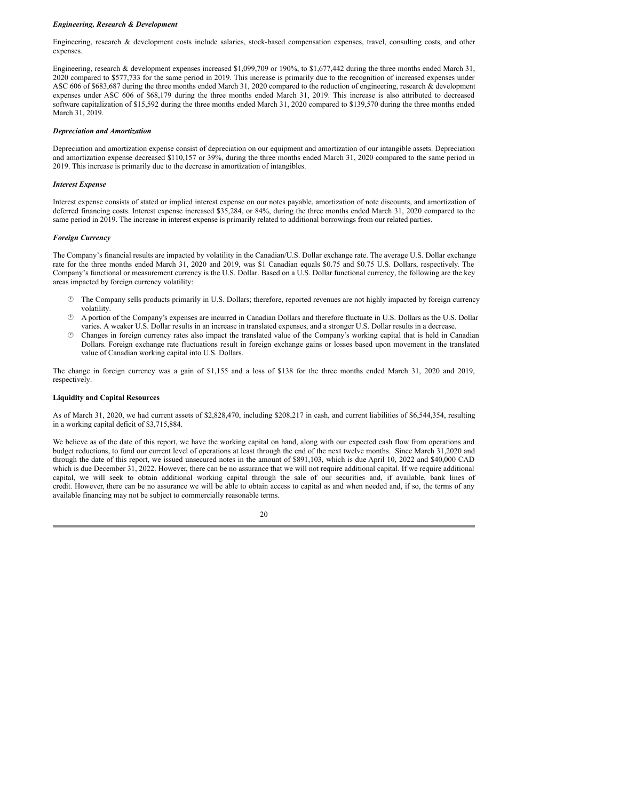#### *Engineering, Research & Development*

Engineering, research & development costs include salaries, stock-based compensation expenses, travel, consulting costs, and other expenses.

Engineering, research & development expenses increased \$1,099,709 or 190%, to \$1,677,442 during the three months ended March 31, 2020 compared to \$577,733 for the same period in 2019. This increase is primarily due to the recognition of increased expenses under ASC 606 of \$683,687 during the three months ended March 31, 2020 compared to the reduction of engineering, research & development expenses under ASC 606 of \$68,179 during the three months ended March 31, 2019. This increase is also attributed to decreased software capitalization of \$15,592 during the three months ended March 31, 2020 compared to \$139,570 during the three months ended March 31, 2019.

#### *Depreciation and Amortization*

Depreciation and amortization expense consist of depreciation on our equipment and amortization of our intangible assets. Depreciation and amortization expense decreased \$110,157 or 39%, during the three months ended March 31, 2020 compared to the same period in 2019. This increase is primarily due to the decrease in amortization of intangibles.

#### *Interest Expense*

Interest expense consists of stated or implied interest expense on our notes payable, amortization of note discounts, and amortization of deferred financing costs. Interest expense increased \$35,284, or 84%, during the three months ended March 31, 2020 compared to the same period in 2019. The increase in interest expense is primarily related to additional borrowings from our related parties.

# *Foreign Currency*

The Company's financial results are impacted by volatility in the Canadian/U.S. Dollar exchange rate. The average U.S. Dollar exchange rate for the three months ended March 31, 2020 and 2019, was \$1 Canadian equals \$0.75 and \$0.75 U.S. Dollars, respectively. The Company's functional or measurement currency is the U.S. Dollar. Based on a U.S. Dollar functional currency, the following are the key areas impacted by foreign currency volatility:

- $\circled{}$  The Company sells products primarily in U.S. Dollars; therefore, reported revenues are not highly impacted by foreign currency volatility.
- A portion of the Company's expenses are incurred in Canadian Dollars and therefore fluctuate in U.S. Dollars as the U.S. Dollar varies. A weaker U.S. Dollar results in an increase in translated expenses, and a stronger U.S. Dollar results in a decrease.  $\langle \overline{Y} \rangle$
- $\circled{b}$  Changes in foreign currency rates also impact the translated value of the Company's working capital that is held in Canadian Dollars. Foreign exchange rate fluctuations result in foreign exchange gains or losses based upon movement in the translated value of Canadian working capital into U.S. Dollars.

The change in foreign currency was a gain of \$1,155 and a loss of \$138 for the three months ended March 31, 2020 and 2019, respectively.

## **Liquidity and Capital Resources**

As of March 31, 2020, we had current assets of \$2,828,470, including \$208,217 in cash, and current liabilities of \$6,544,354, resulting in a working capital deficit of \$3,715,884.

We believe as of the date of this report, we have the working capital on hand, along with our expected cash flow from operations and budget reductions, to fund our current level of operations at least through the end of the next twelve months. Since March 31,2020 and through the date of this report, we issued unsecured notes in the amount of \$891,103, which is due April 10, 2022 and \$40,000 CAD which is due December 31, 2022. However, there can be no assurance that we will not require additional capital. If we require additional capital, we will seek to obtain additional working capital through the sale of our securities and, if available, bank lines of credit. However, there can be no assurance we will be able to obtain access to capital as and when needed and, if so, the terms of any available financing may not be subject to commercially reasonable terms.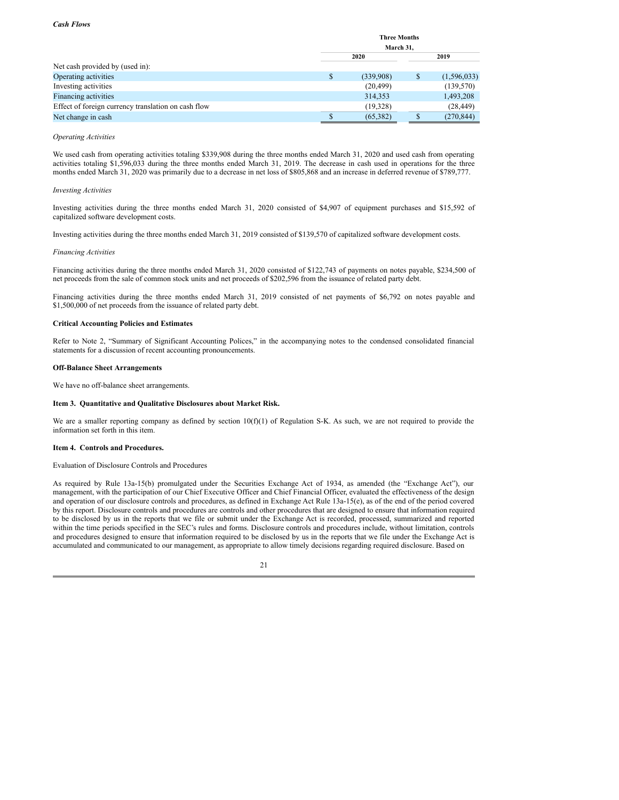|                                                     |      | <b>Three Months</b><br>March 31, |    |               |  |  |  |
|-----------------------------------------------------|------|----------------------------------|----|---------------|--|--|--|
|                                                     | 2020 |                                  |    | 2019          |  |  |  |
| Net cash provided by (used in):                     |      |                                  |    |               |  |  |  |
| Operating activities                                | \$   | (339,908)                        | \$ | (1, 596, 033) |  |  |  |
| Investing activities                                |      | (20, 499)                        |    | (139, 570)    |  |  |  |
| <b>Financing activities</b>                         |      | 314,353                          |    | 1,493,208     |  |  |  |
| Effect of foreign currency translation on cash flow |      | (19,328)                         |    | (28, 449)     |  |  |  |
| Net change in cash                                  |      | (65,382)                         |    | (270, 844)    |  |  |  |

#### *Operating Activities*

We used cash from operating activities totaling \$339,908 during the three months ended March 31, 2020 and used cash from operating activities totaling \$1,596,033 during the three months ended March 31, 2019. The decrease in cash used in operations for the three months ended March 31, 2020 was primarily due to a decrease in net loss of \$805,868 and an increase in deferred revenue of \$789,777.

#### *Investing Activities*

Investing activities during the three months ended March 31, 2020 consisted of \$4,907 of equipment purchases and \$15,592 of capitalized software development costs.

Investing activities during the three months ended March 31, 2019 consisted of \$139,570 of capitalized software development costs.

#### *Financing Activities*

Financing activities during the three months ended March 31, 2020 consisted of \$122,743 of payments on notes payable, \$234,500 of net proceeds from the sale of common stock units and net proceeds of \$202,596 from the issuance of related party debt.

Financing activities during the three months ended March 31, 2019 consisted of net payments of \$6,792 on notes payable and \$1,500,000 of net proceeds from the issuance of related party debt.

# **Critical Accounting Policies and Estimates**

Refer to Note 2, "Summary of Significant Accounting Polices," in the accompanying notes to the condensed consolidated financial statements for a discussion of recent accounting pronouncements.

#### **Off-Balance Sheet Arrangements**

We have no off-balance sheet arrangements.

#### **Item 3. Quantitative and Qualitative Disclosures about Market Risk.**

We are a smaller reporting company as defined by section  $10(f)(1)$  of Regulation S-K. As such, we are not required to provide the information set forth in this item.

## **Item 4. Controls and Procedures.**

# Evaluation of Disclosure Controls and Procedures

As required by Rule 13a-15(b) promulgated under the Securities Exchange Act of 1934, as amended (the "Exchange Act"), our management, with the participation of our Chief Executive Officer and Chief Financial Officer, evaluated the effectiveness of the design and operation of our disclosure controls and procedures, as defined in Exchange Act Rule 13a-15(e), as of the end of the period covered by this report. Disclosure controls and procedures are controls and other procedures that are designed to ensure that information required to be disclosed by us in the reports that we file or submit under the Exchange Act is recorded, processed, summarized and reported within the time periods specified in the SEC's rules and forms. Disclosure controls and procedures include, without limitation, controls and procedures designed to ensure that information required to be disclosed by us in the reports that we file under the Exchange Act is accumulated and communicated to our management, as appropriate to allow timely decisions regarding required disclosure. Based on

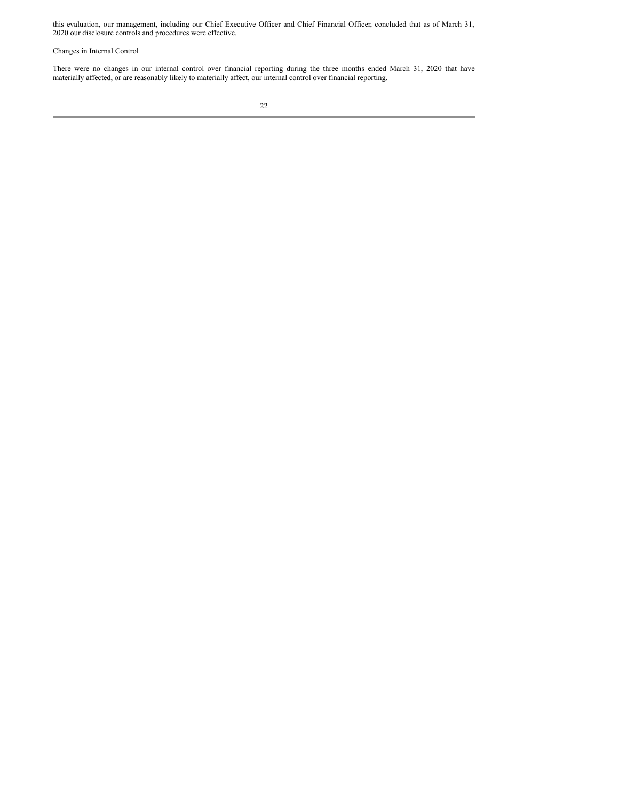this evaluation, our management, including our Chief Executive Officer and Chief Financial Officer, concluded that as of March 31, 2020 our disclosure controls and procedures were effective.

Changes in Internal Control

There were no changes in our internal control over financial reporting during the three months ended March 31, 2020 that have materially affected, or are reasonably likely to materially affect, our internal control over financial reporting.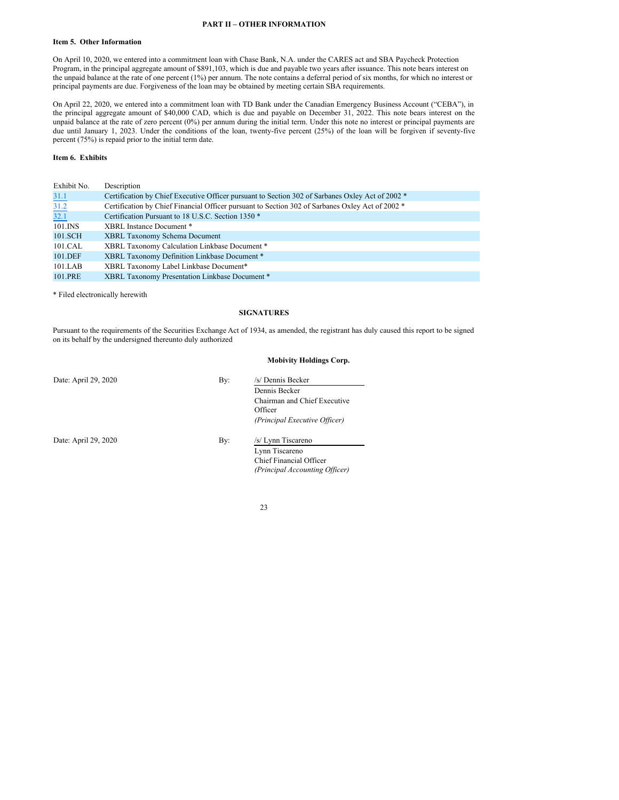# <span id="page-24-0"></span>**PART II – OTHER INFORMATION**

#### **Item 5. Other Information**

On April 10, 2020, we entered into a commitment loan with Chase Bank, N.A. under the CARES act and SBA Paycheck Protection Program, in the principal aggregate amount of \$891,103, which is due and payable two years after issuance. This note bears interest on the unpaid balance at the rate of one percent (1%) per annum. The note contains a deferral period of six months, for which no interest or principal payments are due. Forgiveness of the loan may be obtained by meeting certain SBA requirements.

On April 22, 2020, we entered into a commitment loan with TD Bank under the Canadian Emergency Business Account ("CEBA"), in the principal aggregate amount of \$40,000 CAD, which is due and payable on December 31, 2022. This note bears interest on the unpaid balance at the rate of zero percent (0%) per annum during the initial term. Under this note no interest or principal payments are due until January 1, 2023. Under the conditions of the loan, twenty-five percent (25%) of the loan will be forgiven if seventy-five percent (75%) is repaid prior to the initial term date.

#### **Item 6. Exhibits**

| Exhibit No.         | Description                                                                                      |
|---------------------|--------------------------------------------------------------------------------------------------|
| 31.1                | Certification by Chief Executive Officer pursuant to Section 302 of Sarbanes Oxley Act of 2002 * |
| $\frac{31.2}{32.1}$ | Certification by Chief Financial Officer pursuant to Section 302 of Sarbanes Oxley Act of 2002 * |
|                     | Certification Pursuant to 18 U.S.C. Section 1350 *                                               |
| 101.INS             | XBRL Instance Document *                                                                         |
| $101.$ SCH          | <b>XBRL Taxonomy Schema Document</b>                                                             |
| 101.CAL             | XBRL Taxonomy Calculation Linkbase Document *                                                    |
| 101.DEF             | XBRL Taxonomy Definition Linkbase Document *                                                     |
| 101.LAB             | XBRL Taxonomy Label Linkbase Document*                                                           |
| 101.PRE             | XBRL Taxonomy Presentation Linkbase Document *                                                   |

\* Filed electronically herewith

# **SIGNATURES**

Pursuant to the requirements of the Securities Exchange Act of 1934, as amended, the registrant has duly caused this report to be signed on its behalf by the undersigned thereunto duly authorized

# **Mobivity Holdings Corp.**

Date: April 29, 2020 By: /s/ Dennis Becker Dennis Becker Chairman and Chief Executive **Officer** *(Principal Executive Of icer)*

Date: April 29, 2020 By: /s/ Lynn Tiscareno Lynn Tiscareno Chief Financial Officer *(Principal Accounting Of icer)*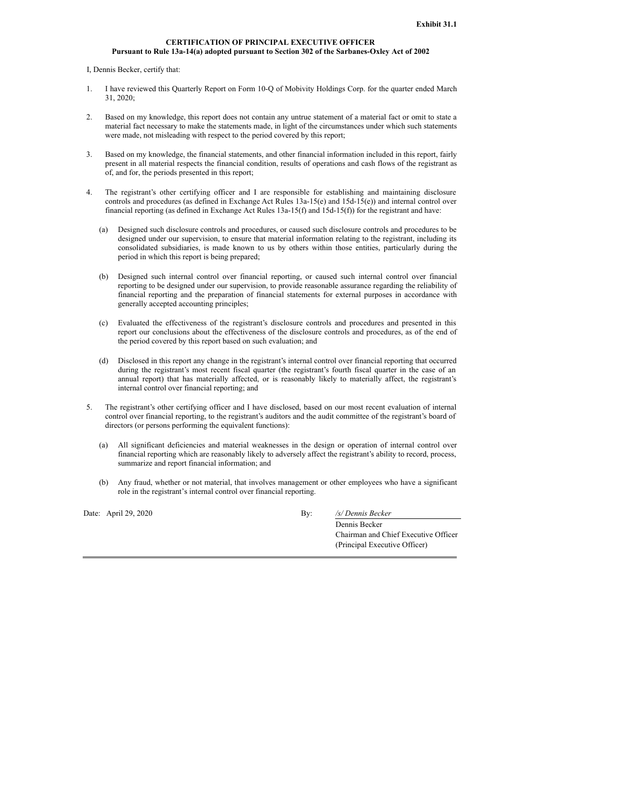# **CERTIFICATION OF PRINCIPAL EXECUTIVE OFFICER Pursuant to Rule 13a-14(a) adopted pursuant to Section 302 of the Sarbanes-Oxley Act of 2002**

<span id="page-25-0"></span>I, Dennis Becker, certify that:

- 1. I have reviewed this Quarterly Report on Form 10-Q of Mobivity Holdings Corp. for the quarter ended March 31, 2020;
- 2. Based on my knowledge, this report does not contain any untrue statement of a material fact or omit to state a material fact necessary to make the statements made, in light of the circumstances under which such statements were made, not misleading with respect to the period covered by this report;
- 3. Based on my knowledge, the financial statements, and other financial information included in this report, fairly present in all material respects the financial condition, results of operations and cash flows of the registrant as of, and for, the periods presented in this report;
- 4. The registrant's other certifying officer and I are responsible for establishing and maintaining disclosure controls and procedures (as defined in Exchange Act Rules 13a-15(e) and 15d-15(e)) and internal control over financial reporting (as defined in Exchange Act Rules 13a-15(f) and 15d-15(f)) for the registrant and have:
	- (a) Designed such disclosure controls and procedures, or caused such disclosure controls and procedures to be designed under our supervision, to ensure that material information relating to the registrant, including its consolidated subsidiaries, is made known to us by others within those entities, particularly during the period in which this report is being prepared;
	- (b) Designed such internal control over financial reporting, or caused such internal control over financial reporting to be designed under our supervision, to provide reasonable assurance regarding the reliability of financial reporting and the preparation of financial statements for external purposes in accordance with generally accepted accounting principles;
	- (c) Evaluated the effectiveness of the registrant's disclosure controls and procedures and presented in this report our conclusions about the effectiveness of the disclosure controls and procedures, as of the end of the period covered by this report based on such evaluation; and
	- (d) Disclosed in this report any change in the registrant's internal control over financial reporting that occurred during the registrant's most recent fiscal quarter (the registrant's fourth fiscal quarter in the case of an annual report) that has materially affected, or is reasonably likely to materially affect, the registrant's internal control over financial reporting; and
- 5. The registrant's other certifying officer and I have disclosed, based on our most recent evaluation of internal control over financial reporting, to the registrant's auditors and the audit committee of the registrant's board of directors (or persons performing the equivalent functions):
	- (a) All significant deficiencies and material weaknesses in the design or operation of internal control over financial reporting which are reasonably likely to adversely affect the registrant's ability to record, process, summarize and report financial information; and
	- (b) Any fraud, whether or not material, that involves management or other employees who have a significant role in the registrant's internal control over financial reporting.

Date: April 29, 2020 By: */s/ Dennis Becker*

Dennis Becker Chairman and Chief Executive Officer (Principal Executive Officer)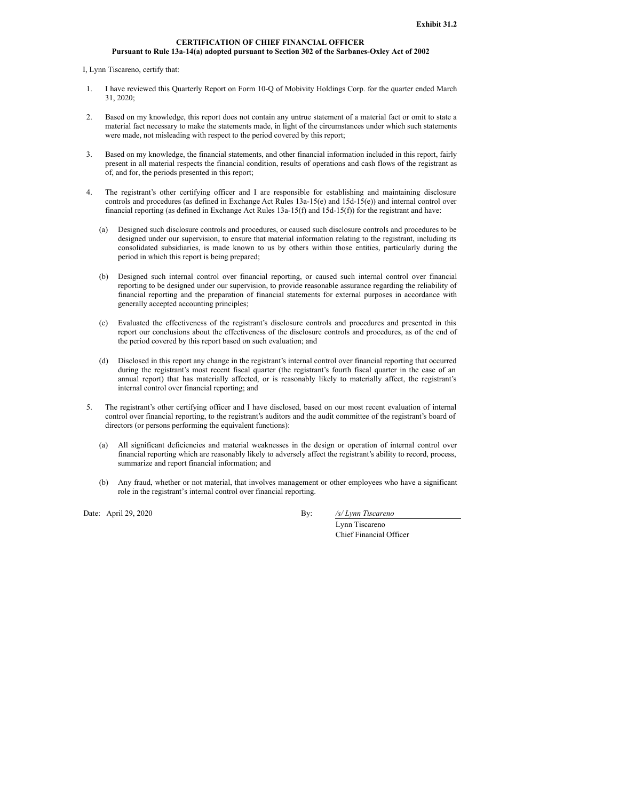# **CERTIFICATION OF CHIEF FINANCIAL OFFICER Pursuant to Rule 13a-14(a) adopted pursuant to Section 302 of the Sarbanes-Oxley Act of 2002**

<span id="page-27-0"></span>I, Lynn Tiscareno, certify that:

- 1. I have reviewed this Quarterly Report on Form 10-Q of Mobivity Holdings Corp. for the quarter ended March 31, 2020;
- 2. Based on my knowledge, this report does not contain any untrue statement of a material fact or omit to state a material fact necessary to make the statements made, in light of the circumstances under which such statements were made, not misleading with respect to the period covered by this report;
- 3. Based on my knowledge, the financial statements, and other financial information included in this report, fairly present in all material respects the financial condition, results of operations and cash flows of the registrant as of, and for, the periods presented in this report;
- 4. The registrant's other certifying officer and I are responsible for establishing and maintaining disclosure controls and procedures (as defined in Exchange Act Rules 13a-15(e) and 15d-15(e)) and internal control over financial reporting (as defined in Exchange Act Rules 13a-15(f) and 15d-15(f)) for the registrant and have:
	- (a) Designed such disclosure controls and procedures, or caused such disclosure controls and procedures to be designed under our supervision, to ensure that material information relating to the registrant, including its consolidated subsidiaries, is made known to us by others within those entities, particularly during the period in which this report is being prepared;
	- (b) Designed such internal control over financial reporting, or caused such internal control over financial reporting to be designed under our supervision, to provide reasonable assurance regarding the reliability of financial reporting and the preparation of financial statements for external purposes in accordance with generally accepted accounting principles;
	- (c) Evaluated the effectiveness of the registrant's disclosure controls and procedures and presented in this report our conclusions about the effectiveness of the disclosure controls and procedures, as of the end of the period covered by this report based on such evaluation; and
	- (d) Disclosed in this report any change in the registrant's internal control over financial reporting that occurred during the registrant's most recent fiscal quarter (the registrant's fourth fiscal quarter in the case of an annual report) that has materially affected, or is reasonably likely to materially affect, the registrant's internal control over financial reporting; and
- 5. The registrant's other certifying officer and I have disclosed, based on our most recent evaluation of internal control over financial reporting, to the registrant's auditors and the audit committee of the registrant's board of directors (or persons performing the equivalent functions):
	- (a) All significant deficiencies and material weaknesses in the design or operation of internal control over financial reporting which are reasonably likely to adversely affect the registrant's ability to record, process, summarize and report financial information; and
	- (b) Any fraud, whether or not material, that involves management or other employees who have a significant role in the registrant's internal control over financial reporting.

Date: April 29, 2020 By: */s/ Lynn Tiscareno*

Lynn Tiscareno Chief Financial Officer